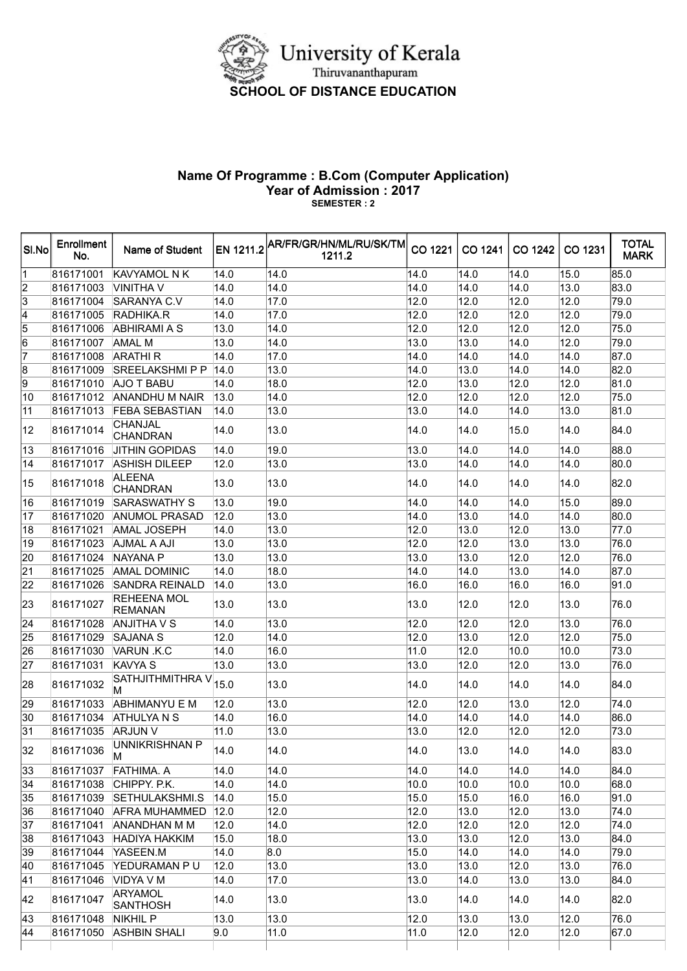

## Name Of Programme : B.Com (Computer Application) Year of Admission : 2017 SEMESTER : 2

| SI.No           | <b>Enrollment</b><br>No. | Name of Student                      |      | EN 1211.2 AR/FR/GR/HN/ML/RU/SK/TM CO 1221<br>1211.2 |      | CO 1241           | CO 1242 | CO 1231 | <b>TOTAL</b><br><b>MARK</b> |
|-----------------|--------------------------|--------------------------------------|------|-----------------------------------------------------|------|-------------------|---------|---------|-----------------------------|
| 1               | 816171001                | <b>KAVYAMOL N K</b>                  | 14.0 | 14.0                                                | 14.0 | 14.0              | 14.0    | 15.0    | 85.0                        |
| 2               | 816171003                | <b>VINITHA V</b>                     | 14.0 | 14.0                                                | 14.0 | 14.0              | 14.0    | 13.0    | 83.0                        |
| 3               | 816171004                | SARANYA C.V                          | 14.0 | 17.0                                                | 12.0 | $\overline{1}2.0$ | 12.0    | 12.0    | 79.0                        |
| 4               | 816171005                | <b>RADHIKA.R</b>                     | 14.0 | 17.0                                                | 12.0 | 12.0              | 12.0    | 12.0    | 79.0                        |
| 5               | 816171006                | <b>ABHIRAMI A S</b>                  | 13.0 | 14.0                                                | 12.0 | 12.0              | 12.0    | 12.0    | 75.0                        |
| 6               | 816171007                | <b>AMAL M</b>                        | 13.0 | 14.0                                                | 13.0 | 13.0              | 14.0    | 12.0    | 79.0                        |
| 17              | 816171008                | <b>ARATHIR</b>                       | 14.0 | 17.0                                                | 14.0 | 14.0              | 14.0    | 14.0    | 87.0                        |
| 8               | 816171009                | <b>SREELAKSHMIPP</b>                 | 14.0 | 13.0                                                | 14.0 | 13.0              | 14.0    | 14.0    | 82.0                        |
| 9               | 816171010                | <b>AJO T BABU</b>                    | 14.0 | 18.0                                                | 12.0 | 13.0              | 12.0    | 12.0    | 81.0                        |
| 10              | 816171012                | <b>ANANDHU M NAIR</b>                | 13.0 | 14.0                                                | 12.0 | 12.0              | 12.0    | 12.0    | 75.0                        |
| 11              | 816171013                | <b>FEBA SEBASTIAN</b>                | 14.0 | 13.0                                                | 13.0 | 14.0              | 14.0    | 13.0    | 81.0                        |
| 12              | 816171014                | CHANJAL<br>CHANDRAN                  | 14.0 | 13.0                                                | 14.0 | 14.0              | 15.0    | 14.0    | 84.0                        |
| 13              | 816171016                | <b>JITHIN GOPIDAS</b>                | 14.0 | 19.0                                                | 13.0 | 14.0              | 14.0    | 14.0    | 88.0                        |
| 14              | 816171017                | <b>ASHISH DILEEP</b>                 | 12.0 | 13.0                                                | 13.0 | 14.0              | 14.0    | 14.0    | 80.0                        |
| 15              | 816171018                | <b>ALEENA</b><br><b>CHANDRAN</b>     | 13.0 | 13.0                                                | 14.0 | 14.0              | 14.0    | 14.0    | 82.0                        |
| 16              | 816171019                | <b>SARASWATHY S</b>                  | 13.0 | 19.0                                                | 14.0 | 14.0              | 14.0    | 15.0    | 89.0                        |
| 17              | 816171020                | <b>ANUMOL PRASAD</b>                 | 12.0 | 13.0                                                | 14.0 | 13.0              | 14.0    | 14.0    | 80.0                        |
| 18              | 816171021                | <b>AMAL JOSEPH</b>                   | 14.0 | 13.0                                                | 12.0 | 13.0              | 12.0    | 13.0    | 77.0                        |
| 19              | 816171023                | AJMAL A AJI                          | 13.0 | 13.0                                                | 12.0 | 12.0              | 13.0    | 13.0    | 76.0                        |
| 20              | 816171024                | NAYANA P                             | 13.0 | 13.0                                                | 13.0 | 13.0              | 12.0    | 12.0    | 76.0                        |
| 21              | 816171025                | <b>AMAL DOMINIC</b>                  | 14.0 | 18.0                                                | 14.0 | 14.0              | 13.0    | 14.0    | 87.0                        |
| 22              | 816171026                | <b>SANDRA REINALD</b>                | 14.0 | 13.0                                                | 16.0 | 16.0              | 16.0    | 16.0    | 91.0                        |
| 23              | 816171027                | <b>REHEENA MOL</b><br><b>REMANAN</b> | 13.0 | 13.0                                                | 13.0 | 12.0              | 12.0    | 13.0    | 76.0                        |
| $\overline{24}$ | 816171028                | <b>ANJITHA V S</b>                   | 14.0 | 13.0                                                | 12.0 | 12.0              | 12.0    | 13.0    | 76.0                        |
| 25              | 816171029                | <b>SAJANA S</b>                      | 12.0 | 14.0                                                | 12.0 | 13.0              | 12.0    | 12.0    | 75.0                        |
| 26              | 816171030                | VARUN .K.C                           | 14.0 | 16.0                                                | 11.0 | 12.0              | 10.0    | 10.0    | 73.0                        |
| 27              | 816171031                | KAVYA S                              | 13.0 | 13.0                                                | 13.0 | 12.0              | 12.0    | 13.0    | 76.0                        |
| 28              | 816171032                | SATHJITHMITHRA V<br>м                | 15.0 | 13.0                                                | 14.0 | 14.0              | 14.0    | 14.0    | 84.0                        |
| 29              | 816171033                | ABHIMANYU E M                        | 12.0 | 13.0                                                | 12.0 | 12.0              | 13.0    | 12.0    | 74.0                        |
| 30              | 816171034                | <b>ATHULYANS</b>                     | 14.0 | 16.0                                                | 14.0 | 14.0              | 14.0    | 14.0    | 86.0                        |
| 31              | 816171035                | <b>ARJUN V</b>                       | 11.0 | 13.0                                                | 13.0 | 12.0              | 12.0    | 12.0    | 73.0                        |
| 32              | 816171036                | UNNIKRISHNAN P<br>M                  | 14.0 | 14.0                                                | 14.0 | 13.0              | 14.0    | 14.0    | 83.0                        |
| 33              | 816171037                | FATHIMA. A                           | 14.0 | 14.0                                                | 14.0 | 14.0              | 14.0    | 14.0    | 84.0                        |
| 34              | 816171038                | CHIPPY. P.K.                         | 14.0 | 14.0                                                | 10.0 | 10.0              | 10.0    | 10.0    | 68.0                        |
| 35              | 816171039                | SETHULAKSHMI.S                       | 14.0 | 15.0                                                | 15.0 | 15.0              | 16.0    | 16.0    | 91.0                        |
| 36              | 816171040                | AFRA MUHAMMED                        | 12.0 | 12.0                                                | 12.0 | 13.0              | 12.0    | 13.0    | 74.0                        |
| 37              | 816171041                | <b>ANANDHAN M M</b>                  | 12.0 | 14.0                                                | 12.0 | 12.0              | 12.0    | 12.0    | 74.0                        |
| 38              | 816171043                | <b>HADIYA HAKKIM</b>                 | 15.0 | 18.0                                                | 13.0 | 13.0              | 12.0    | 13.0    | 84.0                        |
| 39              | 816171044                | YASEEN.M                             | 14.0 | 8.0                                                 | 15.0 | 14.0              | 14.0    | 14.0    | 79.0                        |
| 40              | 816171045                | YEDURAMAN PU                         | 12.0 | 13.0                                                | 13.0 | 13.0              | 12.0    | 13.0    | 76.0                        |
| 41              | 816171046                | VIDYA V M                            | 14.0 | 17.0                                                | 13.0 | 14.0              | 13.0    | 13.0    | 84.0                        |
| 42              | 816171047                | ARYAMOL<br><b>SANTHOSH</b>           | 14.0 | 13.0                                                | 13.0 | 14.0              | 14.0    | 14.0    | 82.0                        |
| 43              | 816171048                | NIKHIL P                             | 13.0 | 13.0                                                | 12.0 | 13.0              | 13.0    | 12.0    | 76.0                        |
| 44              | 816171050                | <b>ASHBIN SHALI</b>                  | 9.0  | 11.0                                                | 11.0 | 12.0              | 12.0    | 12.0    | 67.0                        |
|                 |                          |                                      |      |                                                     |      |                   |         |         |                             |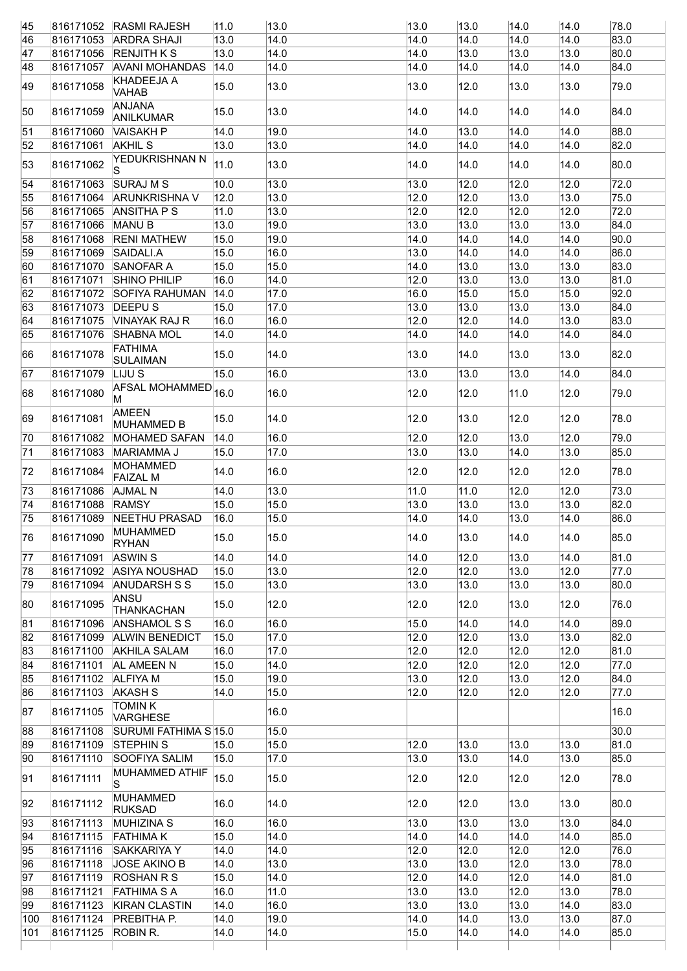| 45              |                        | 816171052 RASMI RAJESH              | 11.0         | 13.0         | 13.0         | 13.0         | 14.0         | 14.0         | 78.0              |
|-----------------|------------------------|-------------------------------------|--------------|--------------|--------------|--------------|--------------|--------------|-------------------|
| 46              |                        | 816171053 ARDRA SHAJI               | 13.0         | 14.0         | 14.0         | 14.0         | 14.0         | 14.0         | $\overline{83.0}$ |
| 47              |                        | 816171056 RENJITH K S               | 13.0         | 14.0         | 14.0         | 13.0         | 13.0         | 13.0         | 80.0              |
| 48              | 816171057              | <b>AVANI MOHANDAS</b>               | 14.0         | 14.0         | 14.0         | 14.0         | 14.0         | 14.0         | 84.0              |
| 49              | 816171058              | KHADEEJA A<br><b>VAHAB</b>          | 15.0         | 13.0         | 13.0         | 12.0         | 13.0         | 13.0         | 79.0              |
| 50              | 816171059              | ANJANA<br><b>ANILKUMAR</b>          | 15.0         | 13.0         | 14.0         | 14.0         | 14.0         | 14.0         | 84.0              |
| 51              | 816171060              | <b>VAISAKH P</b>                    | 14.0         | 19.0         | 14.0         | 13.0         | 14.0         | 14.0         | 88.0              |
| 52              | 816171061              | <b>AKHIL S</b>                      | 13.0         | 13.0         | 14.0         | 14.0         | 14.0         | 14.0         | 82.0              |
| 53              | 816171062              | YEDUKRISHNAN N<br>ls.               | 11.0         | 13.0         | 14.0         | 14.0         | 14.0         | 14.0         | 80.0              |
| 54              |                        | 816171063 SURAJ M S                 | 10.0         | 13.0         | 13.0         | 12.0         | 12.0         | 12.0         | 72.0              |
| 55              |                        | 816171064 ARUNKRISHNA V             | 12.0         | 13.0         | 12.0         | 12.0         | 13.0         | 13.0         | 75.0              |
| 56              | 816171065              | ANSITHA P S                         | 11.0         | 13.0         | 12.0         | 12.0         | 12.0         | 12.0         | 72.0              |
| 57              | 816171066              | <b>MANU B</b>                       | 13.0         | 19.0         | 13.0         | 13.0         | 13.0         | 13.0         | 84.0              |
| 58              | 816171068              | <b>RENI MATHEW</b>                  | 15.0         | 19.0         | 14.0         | 14.0         | 14.0         | 14.0         | 90.0              |
| 59              | 816171069              | SAIDALI.A                           | 15.0         | 16.0         | 13.0         | 14.0         | 14.0         | 14.0         | 86.0              |
| 60              | 816171070              | <b>SANOFAR A</b>                    | 15.0         | 15.0         | 14.0         | 13.0         | 13.0         | 13.0         | 83.0              |
| 61              | 816171071              | SHINO PHILIP                        | 16.0         | 14.0         | 12.0         | 13.0         | 13.0         | 13.0         | 81.0              |
| $\overline{62}$ |                        | 816171072 SOFIYA RAHUMAN            | 14.0         | 17.0         | 16.0         | 15.0         | 15.0         | 15.0         | 92.0              |
| 63              | 816171073              | <b>DEEPUS</b>                       | 15.0         | 17.0         | 13.0         | 13.0         | 13.0         | 13.0         | 84.0              |
| 64              | 816171075              | <b>VINAYAK RAJ R</b>                | 16.0         | 16.0         | 12.0         | 12.0         | 14.0         | 13.0         | 83.0              |
| 65<br>66        | 816171076<br>816171078 | <b>SHABNA MOL</b><br><b>FATHIMA</b> | 14.0<br>15.0 | 14.0<br>14.0 | 14.0<br>13.0 | 14.0<br>14.0 | 14.0<br>13.0 | 14.0<br>13.0 | 84.0<br>82.0      |
|                 |                        | <b>SULAIMAN</b>                     |              |              |              |              |              |              |                   |
| 67              | 816171079              | LIJU S<br><b>AFSAL MOHAMMED</b>     | 15.0         | 16.0         | 13.0         | 13.0         | 13.0         | 14.0         | 84.0              |
| 68              | 816171080              | M<br><b>AMEEN</b>                   | 16.0         | 16.0         | 12.0         | 12.0         | 11.0         | 12.0         | 79.0              |
| 69              | 816171081              | <b>MUHAMMED B</b>                   | 15.0         | 14.0         | 12.0         | 13.0         | 12.0         | 12.0         | 78.0              |
| 70              | 816171082              | <b>MOHAMED SAFAN</b>                | 14.0         | 16.0         | 12.0         | 12.0         | 13.0         | 12.0         | 79.0              |
| 171<br>72       | 816171083              | MARIAMMA J<br><b>MOHAMMED</b>       | 15.0         | 17.0         | 13.0<br>12.0 | 13.0         | 14.0         | 13.0         | 85.0<br>78.0      |
| 73              | 816171084<br>816171086 | <b>FAIZAL M</b><br><b>AJMAL N</b>   | 14.0<br>14.0 | 16.0<br>13.0 | 11.0         | 12.0<br>11.0 | 12.0<br>12.0 | 12.0<br>12.0 | $\overline{73.0}$ |
| 74              | 816171088              | <b>RAMSY</b>                        | 15.0         | 15.0         | 13.0         | 13.0         | 13.0         | 13.0         | 82.0              |
| 75              | 816171089              | <b>NEETHU PRASAD</b>                | 16.0         | 15.0         | 14.0         | 14.0         | 13.0         | 14.0         | 86.0              |
| 76              | 816171090              | MUHAMMED<br><b>RYHAN</b>            | 15.0         | 15.0         | 14.0         | 13.0         | 14.0         | 14.0         | 85.0              |
| 77              | 816171091              | <b>ASWIN S</b>                      | 14.0         | 14.0         | 14.0         | 12.0         | 13.0         | 14.0         | 81.0              |
| 78              | 816171092              | <b>ASIYA NOUSHAD</b>                | 15.0         | 13.0         | 12.0         | 12.0         | 13.0         | 12.0         | 77.0              |
| 79              | 816171094              | <b>ANUDARSH S S</b>                 | 15.0         | 13.0         | 13.0         | 13.0         | 13.0         | 13.0         | 80.0              |
| 80              | 816171095              | ANSU<br>THANKACHAN                  | 15.0         | 12.0         | 12.0         | 12.0         | 13.0         | 12.0         | 76.0              |
| 81              | 816171096              | <b>ANSHAMOL S S</b>                 | 16.0         | 16.0         | 15.0         | 14.0         | 14.0         | 14.0         | $\overline{89.0}$ |
| 82              | 816171099              | <b>ALWIN BENEDICT</b>               | 15.0         | 17.0         | 12.0         | 12.0         | 13.0         | 13.0         | 82.0              |
| 83              | 816171100              | <b>AKHILA SALAM</b>                 | 16.0         | 17.0         | 12.0         | 12.0         | 12.0         | 12.0         | 81.0              |
| 84              | 816171101              | <b>AL AMEEN N</b>                   | 15.0         | 14.0         | 12.0         | 12.0         | 12.0         | 12.0         | 77.0              |
| 85              | 816171102              | <b>ALFIYA M</b>                     | 15.0         | 19.0         | 13.0         | 12.0         | 13.0         | 12.0         | 84.0              |
| 86              | 816171103              | <b>AKASH S</b>                      | 14.0         | 15.0         | 12.0         | 12.0         | 12.0         | 12.0         | 77.0              |
| 87              | 816171105              | <b>TOMINK</b><br><b>VARGHESE</b>    |              | 16.0         |              |              |              |              | 16.0              |
| 88              | 816171108              | SURUMI FATHIMA S 15.0               |              | 15.0         |              |              |              |              | 30.0              |
| 89              | 816171109              | <b>STEPHIN S</b>                    | 15.0         | 15.0         | 12.0         | 13.0         | 13.0         | 13.0         | 81.0              |
| l90             | 816171110              | SOOFIYA SALIM                       | 15.0         | 17.0         | 13.0         | 13.0         | 14.0         | 13.0         | 85.0              |
| 91              | 816171111              | <b>MUHAMMED ATHIF</b><br>ls.        | 15.0         | 15.0         | 12.0         | 12.0         | 12.0         | 12.0         | 78.0              |
| 92              | 816171112              | <b>MUHAMMED</b><br><b>RUKSAD</b>    | 16.0         | 14.0         | 12.0         | 12.0         | 13.0         | 13.0         | 80.0              |
| 93              | 816171113              | <b>MUHIZINA S</b>                   | 16.0         | 16.0         | 13.0         | 13.0         | 13.0         | 13.0         | 84.0              |
| 94              | 816171115              | <b>FATHIMAK</b>                     | 15.0         | 14.0         | 14.0         | 14.0         | 14.0         | 14.0         | 85.0              |
| 95              | 816171116              | SAKKARIYA Y                         | 14.0         | 14.0         | 12.0         | 12.0         | 12.0         | 12.0         | 76.0              |
| 96              | 816171118              | JOSE AKINO B                        | 14.0         | 13.0         | 13.0         | 13.0         | 12.0         | 13.0         | 78.0              |
| 97              | 816171119              | <b>ROSHAN R S</b>                   | 15.0         | 14.0         | 12.0         | 14.0         | 12.0         | 14.0         | 81.0              |
| 98              | 816171121              | <b>FATHIMA S A</b>                  | 16.0         | 11.0         | 13.0         | 13.0         | 12.0         | 13.0         | 78.0              |
| 99              | 816171123              | <b>KIRAN CLASTIN</b>                | 14.0         | 16.0         | 13.0         | 13.0         | 13.0         | 14.0         | 83.0              |
|                 |                        | PREBITHA P.                         | 14.0         | 19.0         | 14.0         | 14.0         | 13.0         | 13.0         | 87.0              |
| 100             | 816171124<br>816171125 |                                     |              | 14.0         |              | 14.0         |              |              |                   |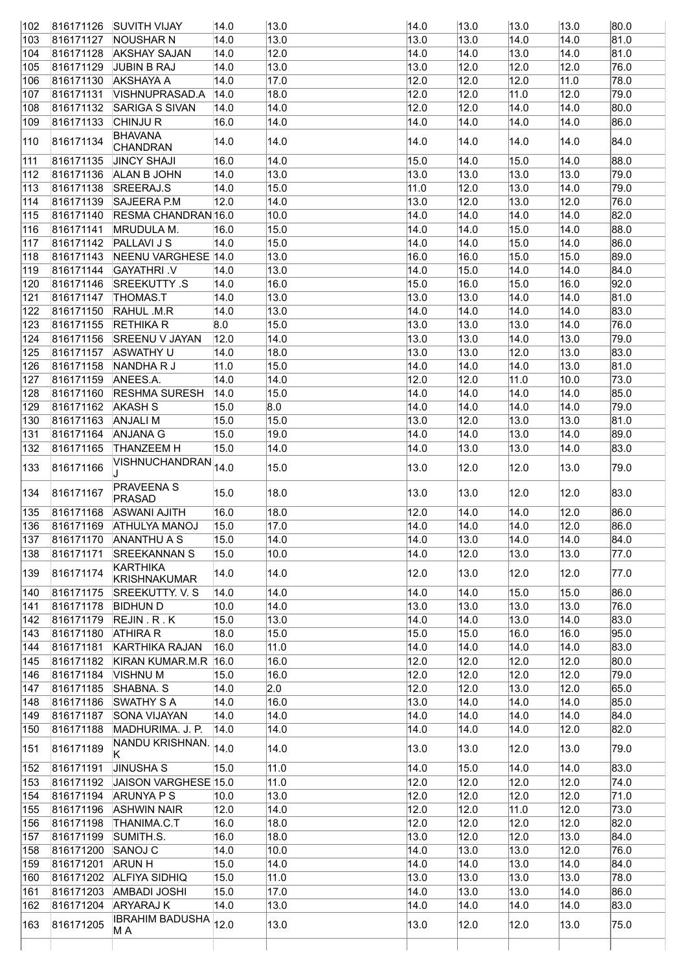| 816171133 CHINJU R | 816171127 NOUSHAR N<br>816171128 AKSHAY SAJAN<br>816171129 JUBIN B RAJ<br>816171130 AKSHAYA A<br>816171131 VISHNUPRASAD.A                                                                                                                                                                                                         | 14.0<br>14.0<br>14.0<br>14.0                                                                                                                                                                                                                                                                                                                                                                                                                                                                                                                                                                                                                                                                                                                                                                                                                                                                               | 13.0<br>13.0<br> 12.0 <br> 13.0                                                                                                                                                                                                                                                                                                                                                                                                                                                       | 14.0<br>13.0<br>14.0<br>13.0                                                                                                                                                                                                                                                                                                                                                                                                        | 13.0 <br>13.0<br>14.0<br>12.0                                                                                                                                                                                                                        | 13.0 <br> 14.0 <br>13.0<br>12.0                                                                                                                                                                                                                                                          | 13.0 <br>14.0<br> 14.0<br>12.0                                                                                                                                                                                                                                      | 80.0<br>81.0<br>81.0                                                                                                                                                                                                                           |
|--------------------|-----------------------------------------------------------------------------------------------------------------------------------------------------------------------------------------------------------------------------------------------------------------------------------------------------------------------------------|------------------------------------------------------------------------------------------------------------------------------------------------------------------------------------------------------------------------------------------------------------------------------------------------------------------------------------------------------------------------------------------------------------------------------------------------------------------------------------------------------------------------------------------------------------------------------------------------------------------------------------------------------------------------------------------------------------------------------------------------------------------------------------------------------------------------------------------------------------------------------------------------------------|---------------------------------------------------------------------------------------------------------------------------------------------------------------------------------------------------------------------------------------------------------------------------------------------------------------------------------------------------------------------------------------------------------------------------------------------------------------------------------------|-------------------------------------------------------------------------------------------------------------------------------------------------------------------------------------------------------------------------------------------------------------------------------------------------------------------------------------------------------------------------------------------------------------------------------------|------------------------------------------------------------------------------------------------------------------------------------------------------------------------------------------------------------------------------------------------------|------------------------------------------------------------------------------------------------------------------------------------------------------------------------------------------------------------------------------------------------------------------------------------------|---------------------------------------------------------------------------------------------------------------------------------------------------------------------------------------------------------------------------------------------------------------------|------------------------------------------------------------------------------------------------------------------------------------------------------------------------------------------------------------------------------------------------|
|                    |                                                                                                                                                                                                                                                                                                                                   |                                                                                                                                                                                                                                                                                                                                                                                                                                                                                                                                                                                                                                                                                                                                                                                                                                                                                                            |                                                                                                                                                                                                                                                                                                                                                                                                                                                                                       |                                                                                                                                                                                                                                                                                                                                                                                                                                     |                                                                                                                                                                                                                                                      |                                                                                                                                                                                                                                                                                          |                                                                                                                                                                                                                                                                     |                                                                                                                                                                                                                                                |
|                    |                                                                                                                                                                                                                                                                                                                                   |                                                                                                                                                                                                                                                                                                                                                                                                                                                                                                                                                                                                                                                                                                                                                                                                                                                                                                            |                                                                                                                                                                                                                                                                                                                                                                                                                                                                                       |                                                                                                                                                                                                                                                                                                                                                                                                                                     |                                                                                                                                                                                                                                                      |                                                                                                                                                                                                                                                                                          |                                                                                                                                                                                                                                                                     |                                                                                                                                                                                                                                                |
|                    |                                                                                                                                                                                                                                                                                                                                   |                                                                                                                                                                                                                                                                                                                                                                                                                                                                                                                                                                                                                                                                                                                                                                                                                                                                                                            |                                                                                                                                                                                                                                                                                                                                                                                                                                                                                       |                                                                                                                                                                                                                                                                                                                                                                                                                                     |                                                                                                                                                                                                                                                      |                                                                                                                                                                                                                                                                                          |                                                                                                                                                                                                                                                                     |                                                                                                                                                                                                                                                |
|                    |                                                                                                                                                                                                                                                                                                                                   |                                                                                                                                                                                                                                                                                                                                                                                                                                                                                                                                                                                                                                                                                                                                                                                                                                                                                                            |                                                                                                                                                                                                                                                                                                                                                                                                                                                                                       |                                                                                                                                                                                                                                                                                                                                                                                                                                     |                                                                                                                                                                                                                                                      |                                                                                                                                                                                                                                                                                          |                                                                                                                                                                                                                                                                     | 76.0                                                                                                                                                                                                                                           |
|                    |                                                                                                                                                                                                                                                                                                                                   |                                                                                                                                                                                                                                                                                                                                                                                                                                                                                                                                                                                                                                                                                                                                                                                                                                                                                                            | 17.0                                                                                                                                                                                                                                                                                                                                                                                                                                                                                  | 12.0                                                                                                                                                                                                                                                                                                                                                                                                                                | 12.0                                                                                                                                                                                                                                                 | 12.0                                                                                                                                                                                                                                                                                     | 11.0                                                                                                                                                                                                                                                                | 78.0                                                                                                                                                                                                                                           |
|                    |                                                                                                                                                                                                                                                                                                                                   | 14.0                                                                                                                                                                                                                                                                                                                                                                                                                                                                                                                                                                                                                                                                                                                                                                                                                                                                                                       | 18.0                                                                                                                                                                                                                                                                                                                                                                                                                                                                                  | 12.0                                                                                                                                                                                                                                                                                                                                                                                                                                | 12.0                                                                                                                                                                                                                                                 | 11.0                                                                                                                                                                                                                                                                                     | 12.0                                                                                                                                                                                                                                                                | 79.0                                                                                                                                                                                                                                           |
|                    | 816171132 SARIGA S SIVAN                                                                                                                                                                                                                                                                                                          | 14.0                                                                                                                                                                                                                                                                                                                                                                                                                                                                                                                                                                                                                                                                                                                                                                                                                                                                                                       | 14.0                                                                                                                                                                                                                                                                                                                                                                                                                                                                                  | 12.0                                                                                                                                                                                                                                                                                                                                                                                                                                | 12.0                                                                                                                                                                                                                                                 | 14.0                                                                                                                                                                                                                                                                                     | 14.0                                                                                                                                                                                                                                                                | 80.0                                                                                                                                                                                                                                           |
|                    |                                                                                                                                                                                                                                                                                                                                   | 16.0                                                                                                                                                                                                                                                                                                                                                                                                                                                                                                                                                                                                                                                                                                                                                                                                                                                                                                       | 14.0                                                                                                                                                                                                                                                                                                                                                                                                                                                                                  | 14.0                                                                                                                                                                                                                                                                                                                                                                                                                                | 14.0                                                                                                                                                                                                                                                 | 14.0                                                                                                                                                                                                                                                                                     | 14.0                                                                                                                                                                                                                                                                | 86.0                                                                                                                                                                                                                                           |
|                    | <b>BHAVANA</b>                                                                                                                                                                                                                                                                                                                    |                                                                                                                                                                                                                                                                                                                                                                                                                                                                                                                                                                                                                                                                                                                                                                                                                                                                                                            |                                                                                                                                                                                                                                                                                                                                                                                                                                                                                       |                                                                                                                                                                                                                                                                                                                                                                                                                                     |                                                                                                                                                                                                                                                      |                                                                                                                                                                                                                                                                                          |                                                                                                                                                                                                                                                                     |                                                                                                                                                                                                                                                |
| 816171134          | <b>CHANDRAN</b>                                                                                                                                                                                                                                                                                                                   | 14.0                                                                                                                                                                                                                                                                                                                                                                                                                                                                                                                                                                                                                                                                                                                                                                                                                                                                                                       | 14.0                                                                                                                                                                                                                                                                                                                                                                                                                                                                                  | 14.0                                                                                                                                                                                                                                                                                                                                                                                                                                | 14.0                                                                                                                                                                                                                                                 | 14.0                                                                                                                                                                                                                                                                                     | 14.0                                                                                                                                                                                                                                                                | 84.0                                                                                                                                                                                                                                           |
| 816171135          | <b>JINCY SHAJI</b>                                                                                                                                                                                                                                                                                                                | 16.0                                                                                                                                                                                                                                                                                                                                                                                                                                                                                                                                                                                                                                                                                                                                                                                                                                                                                                       | 14.0                                                                                                                                                                                                                                                                                                                                                                                                                                                                                  | 15.0                                                                                                                                                                                                                                                                                                                                                                                                                                | 14.0                                                                                                                                                                                                                                                 | 15.0                                                                                                                                                                                                                                                                                     | 14.0                                                                                                                                                                                                                                                                | 88.0                                                                                                                                                                                                                                           |
| 816171136          | ALAN B JOHN                                                                                                                                                                                                                                                                                                                       | 14.0                                                                                                                                                                                                                                                                                                                                                                                                                                                                                                                                                                                                                                                                                                                                                                                                                                                                                                       | 13.0                                                                                                                                                                                                                                                                                                                                                                                                                                                                                  | 13.0                                                                                                                                                                                                                                                                                                                                                                                                                                | 13.0                                                                                                                                                                                                                                                 | 13.0                                                                                                                                                                                                                                                                                     | 13.0                                                                                                                                                                                                                                                                | 79.0                                                                                                                                                                                                                                           |
|                    |                                                                                                                                                                                                                                                                                                                                   |                                                                                                                                                                                                                                                                                                                                                                                                                                                                                                                                                                                                                                                                                                                                                                                                                                                                                                            |                                                                                                                                                                                                                                                                                                                                                                                                                                                                                       |                                                                                                                                                                                                                                                                                                                                                                                                                                     |                                                                                                                                                                                                                                                      |                                                                                                                                                                                                                                                                                          |                                                                                                                                                                                                                                                                     |                                                                                                                                                                                                                                                |
| 816171138          | SREERAJ.S                                                                                                                                                                                                                                                                                                                         | 14.0                                                                                                                                                                                                                                                                                                                                                                                                                                                                                                                                                                                                                                                                                                                                                                                                                                                                                                       | 15.0                                                                                                                                                                                                                                                                                                                                                                                                                                                                                  | 11.0                                                                                                                                                                                                                                                                                                                                                                                                                                | 12.0                                                                                                                                                                                                                                                 | 13.0                                                                                                                                                                                                                                                                                     | 14.0                                                                                                                                                                                                                                                                | 79.0                                                                                                                                                                                                                                           |
| 816171139          | <b>SAJEERA P.M</b>                                                                                                                                                                                                                                                                                                                | 12.0                                                                                                                                                                                                                                                                                                                                                                                                                                                                                                                                                                                                                                                                                                                                                                                                                                                                                                       | 14.0                                                                                                                                                                                                                                                                                                                                                                                                                                                                                  | 13.0                                                                                                                                                                                                                                                                                                                                                                                                                                | 12.0                                                                                                                                                                                                                                                 | 13.0                                                                                                                                                                                                                                                                                     | 12.0                                                                                                                                                                                                                                                                | 76.0                                                                                                                                                                                                                                           |
| 816171140          | RESMA CHANDRAN 16.0                                                                                                                                                                                                                                                                                                               |                                                                                                                                                                                                                                                                                                                                                                                                                                                                                                                                                                                                                                                                                                                                                                                                                                                                                                            | 10.0                                                                                                                                                                                                                                                                                                                                                                                                                                                                                  | 14.0                                                                                                                                                                                                                                                                                                                                                                                                                                | 14.0                                                                                                                                                                                                                                                 | 14.0                                                                                                                                                                                                                                                                                     | 14.0                                                                                                                                                                                                                                                                | 82.0                                                                                                                                                                                                                                           |
| 816171141          |                                                                                                                                                                                                                                                                                                                                   |                                                                                                                                                                                                                                                                                                                                                                                                                                                                                                                                                                                                                                                                                                                                                                                                                                                                                                            |                                                                                                                                                                                                                                                                                                                                                                                                                                                                                       | 14.0                                                                                                                                                                                                                                                                                                                                                                                                                                | 14.0                                                                                                                                                                                                                                                 | 15.0                                                                                                                                                                                                                                                                                     | 14.0                                                                                                                                                                                                                                                                | 88.0                                                                                                                                                                                                                                           |
| 816171142          |                                                                                                                                                                                                                                                                                                                                   |                                                                                                                                                                                                                                                                                                                                                                                                                                                                                                                                                                                                                                                                                                                                                                                                                                                                                                            |                                                                                                                                                                                                                                                                                                                                                                                                                                                                                       |                                                                                                                                                                                                                                                                                                                                                                                                                                     |                                                                                                                                                                                                                                                      |                                                                                                                                                                                                                                                                                          | 14.0                                                                                                                                                                                                                                                                | 86.0                                                                                                                                                                                                                                           |
|                    |                                                                                                                                                                                                                                                                                                                                   |                                                                                                                                                                                                                                                                                                                                                                                                                                                                                                                                                                                                                                                                                                                                                                                                                                                                                                            |                                                                                                                                                                                                                                                                                                                                                                                                                                                                                       |                                                                                                                                                                                                                                                                                                                                                                                                                                     |                                                                                                                                                                                                                                                      |                                                                                                                                                                                                                                                                                          |                                                                                                                                                                                                                                                                     | 89.0                                                                                                                                                                                                                                           |
|                    |                                                                                                                                                                                                                                                                                                                                   |                                                                                                                                                                                                                                                                                                                                                                                                                                                                                                                                                                                                                                                                                                                                                                                                                                                                                                            |                                                                                                                                                                                                                                                                                                                                                                                                                                                                                       |                                                                                                                                                                                                                                                                                                                                                                                                                                     |                                                                                                                                                                                                                                                      |                                                                                                                                                                                                                                                                                          |                                                                                                                                                                                                                                                                     | 84.0                                                                                                                                                                                                                                           |
|                    |                                                                                                                                                                                                                                                                                                                                   |                                                                                                                                                                                                                                                                                                                                                                                                                                                                                                                                                                                                                                                                                                                                                                                                                                                                                                            |                                                                                                                                                                                                                                                                                                                                                                                                                                                                                       |                                                                                                                                                                                                                                                                                                                                                                                                                                     |                                                                                                                                                                                                                                                      |                                                                                                                                                                                                                                                                                          |                                                                                                                                                                                                                                                                     |                                                                                                                                                                                                                                                |
|                    |                                                                                                                                                                                                                                                                                                                                   |                                                                                                                                                                                                                                                                                                                                                                                                                                                                                                                                                                                                                                                                                                                                                                                                                                                                                                            |                                                                                                                                                                                                                                                                                                                                                                                                                                                                                       |                                                                                                                                                                                                                                                                                                                                                                                                                                     |                                                                                                                                                                                                                                                      |                                                                                                                                                                                                                                                                                          |                                                                                                                                                                                                                                                                     | 92.0                                                                                                                                                                                                                                           |
|                    |                                                                                                                                                                                                                                                                                                                                   |                                                                                                                                                                                                                                                                                                                                                                                                                                                                                                                                                                                                                                                                                                                                                                                                                                                                                                            |                                                                                                                                                                                                                                                                                                                                                                                                                                                                                       |                                                                                                                                                                                                                                                                                                                                                                                                                                     |                                                                                                                                                                                                                                                      |                                                                                                                                                                                                                                                                                          |                                                                                                                                                                                                                                                                     | 81.0                                                                                                                                                                                                                                           |
|                    |                                                                                                                                                                                                                                                                                                                                   |                                                                                                                                                                                                                                                                                                                                                                                                                                                                                                                                                                                                                                                                                                                                                                                                                                                                                                            |                                                                                                                                                                                                                                                                                                                                                                                                                                                                                       |                                                                                                                                                                                                                                                                                                                                                                                                                                     |                                                                                                                                                                                                                                                      | 14.0                                                                                                                                                                                                                                                                                     |                                                                                                                                                                                                                                                                     | 83.0                                                                                                                                                                                                                                           |
| 816171155          |                                                                                                                                                                                                                                                                                                                                   |                                                                                                                                                                                                                                                                                                                                                                                                                                                                                                                                                                                                                                                                                                                                                                                                                                                                                                            |                                                                                                                                                                                                                                                                                                                                                                                                                                                                                       | 13.0                                                                                                                                                                                                                                                                                                                                                                                                                                | 13.0                                                                                                                                                                                                                                                 | 13.0                                                                                                                                                                                                                                                                                     | 14.0                                                                                                                                                                                                                                                                | 76.0                                                                                                                                                                                                                                           |
| 816171156          |                                                                                                                                                                                                                                                                                                                                   |                                                                                                                                                                                                                                                                                                                                                                                                                                                                                                                                                                                                                                                                                                                                                                                                                                                                                                            |                                                                                                                                                                                                                                                                                                                                                                                                                                                                                       | 13.0                                                                                                                                                                                                                                                                                                                                                                                                                                | 13.0                                                                                                                                                                                                                                                 | 14.0                                                                                                                                                                                                                                                                                     | 13.0                                                                                                                                                                                                                                                                | 79.0                                                                                                                                                                                                                                           |
|                    |                                                                                                                                                                                                                                                                                                                                   |                                                                                                                                                                                                                                                                                                                                                                                                                                                                                                                                                                                                                                                                                                                                                                                                                                                                                                            |                                                                                                                                                                                                                                                                                                                                                                                                                                                                                       |                                                                                                                                                                                                                                                                                                                                                                                                                                     |                                                                                                                                                                                                                                                      |                                                                                                                                                                                                                                                                                          |                                                                                                                                                                                                                                                                     | 83.0                                                                                                                                                                                                                                           |
|                    |                                                                                                                                                                                                                                                                                                                                   |                                                                                                                                                                                                                                                                                                                                                                                                                                                                                                                                                                                                                                                                                                                                                                                                                                                                                                            |                                                                                                                                                                                                                                                                                                                                                                                                                                                                                       |                                                                                                                                                                                                                                                                                                                                                                                                                                     |                                                                                                                                                                                                                                                      |                                                                                                                                                                                                                                                                                          |                                                                                                                                                                                                                                                                     | 81.0                                                                                                                                                                                                                                           |
|                    |                                                                                                                                                                                                                                                                                                                                   |                                                                                                                                                                                                                                                                                                                                                                                                                                                                                                                                                                                                                                                                                                                                                                                                                                                                                                            |                                                                                                                                                                                                                                                                                                                                                                                                                                                                                       |                                                                                                                                                                                                                                                                                                                                                                                                                                     |                                                                                                                                                                                                                                                      |                                                                                                                                                                                                                                                                                          |                                                                                                                                                                                                                                                                     |                                                                                                                                                                                                                                                |
|                    |                                                                                                                                                                                                                                                                                                                                   |                                                                                                                                                                                                                                                                                                                                                                                                                                                                                                                                                                                                                                                                                                                                                                                                                                                                                                            |                                                                                                                                                                                                                                                                                                                                                                                                                                                                                       |                                                                                                                                                                                                                                                                                                                                                                                                                                     |                                                                                                                                                                                                                                                      |                                                                                                                                                                                                                                                                                          |                                                                                                                                                                                                                                                                     | 73.0                                                                                                                                                                                                                                           |
|                    |                                                                                                                                                                                                                                                                                                                                   |                                                                                                                                                                                                                                                                                                                                                                                                                                                                                                                                                                                                                                                                                                                                                                                                                                                                                                            |                                                                                                                                                                                                                                                                                                                                                                                                                                                                                       |                                                                                                                                                                                                                                                                                                                                                                                                                                     |                                                                                                                                                                                                                                                      |                                                                                                                                                                                                                                                                                          |                                                                                                                                                                                                                                                                     | 85.0                                                                                                                                                                                                                                           |
|                    |                                                                                                                                                                                                                                                                                                                                   |                                                                                                                                                                                                                                                                                                                                                                                                                                                                                                                                                                                                                                                                                                                                                                                                                                                                                                            |                                                                                                                                                                                                                                                                                                                                                                                                                                                                                       | 14.0                                                                                                                                                                                                                                                                                                                                                                                                                                |                                                                                                                                                                                                                                                      | 14.0                                                                                                                                                                                                                                                                                     | 14.0                                                                                                                                                                                                                                                                | 79.0                                                                                                                                                                                                                                           |
|                    |                                                                                                                                                                                                                                                                                                                                   |                                                                                                                                                                                                                                                                                                                                                                                                                                                                                                                                                                                                                                                                                                                                                                                                                                                                                                            |                                                                                                                                                                                                                                                                                                                                                                                                                                                                                       | 13.0                                                                                                                                                                                                                                                                                                                                                                                                                                | 12.0                                                                                                                                                                                                                                                 | 13.0                                                                                                                                                                                                                                                                                     | 13.0                                                                                                                                                                                                                                                                | 81.0                                                                                                                                                                                                                                           |
|                    |                                                                                                                                                                                                                                                                                                                                   |                                                                                                                                                                                                                                                                                                                                                                                                                                                                                                                                                                                                                                                                                                                                                                                                                                                                                                            |                                                                                                                                                                                                                                                                                                                                                                                                                                                                                       | 14.0                                                                                                                                                                                                                                                                                                                                                                                                                                | 14.0                                                                                                                                                                                                                                                 | 13.0                                                                                                                                                                                                                                                                                     | 14.0                                                                                                                                                                                                                                                                | 89.0                                                                                                                                                                                                                                           |
|                    |                                                                                                                                                                                                                                                                                                                                   |                                                                                                                                                                                                                                                                                                                                                                                                                                                                                                                                                                                                                                                                                                                                                                                                                                                                                                            |                                                                                                                                                                                                                                                                                                                                                                                                                                                                                       |                                                                                                                                                                                                                                                                                                                                                                                                                                     |                                                                                                                                                                                                                                                      |                                                                                                                                                                                                                                                                                          |                                                                                                                                                                                                                                                                     | 83.0                                                                                                                                                                                                                                           |
|                    |                                                                                                                                                                                                                                                                                                                                   |                                                                                                                                                                                                                                                                                                                                                                                                                                                                                                                                                                                                                                                                                                                                                                                                                                                                                                            |                                                                                                                                                                                                                                                                                                                                                                                                                                                                                       |                                                                                                                                                                                                                                                                                                                                                                                                                                     |                                                                                                                                                                                                                                                      |                                                                                                                                                                                                                                                                                          |                                                                                                                                                                                                                                                                     |                                                                                                                                                                                                                                                |
| 816171166          |                                                                                                                                                                                                                                                                                                                                   |                                                                                                                                                                                                                                                                                                                                                                                                                                                                                                                                                                                                                                                                                                                                                                                                                                                                                                            | 15.0                                                                                                                                                                                                                                                                                                                                                                                                                                                                                  | 13.0                                                                                                                                                                                                                                                                                                                                                                                                                                | 12.0                                                                                                                                                                                                                                                 | 12.0                                                                                                                                                                                                                                                                                     | 13.0                                                                                                                                                                                                                                                                | 79.0                                                                                                                                                                                                                                           |
|                    |                                                                                                                                                                                                                                                                                                                                   |                                                                                                                                                                                                                                                                                                                                                                                                                                                                                                                                                                                                                                                                                                                                                                                                                                                                                                            |                                                                                                                                                                                                                                                                                                                                                                                                                                                                                       |                                                                                                                                                                                                                                                                                                                                                                                                                                     |                                                                                                                                                                                                                                                      |                                                                                                                                                                                                                                                                                          |                                                                                                                                                                                                                                                                     |                                                                                                                                                                                                                                                |
| 816171167          |                                                                                                                                                                                                                                                                                                                                   |                                                                                                                                                                                                                                                                                                                                                                                                                                                                                                                                                                                                                                                                                                                                                                                                                                                                                                            |                                                                                                                                                                                                                                                                                                                                                                                                                                                                                       | 13.0                                                                                                                                                                                                                                                                                                                                                                                                                                | 13.0                                                                                                                                                                                                                                                 | 12.0                                                                                                                                                                                                                                                                                     | 12.0                                                                                                                                                                                                                                                                | 83.0                                                                                                                                                                                                                                           |
|                    |                                                                                                                                                                                                                                                                                                                                   |                                                                                                                                                                                                                                                                                                                                                                                                                                                                                                                                                                                                                                                                                                                                                                                                                                                                                                            |                                                                                                                                                                                                                                                                                                                                                                                                                                                                                       |                                                                                                                                                                                                                                                                                                                                                                                                                                     |                                                                                                                                                                                                                                                      |                                                                                                                                                                                                                                                                                          |                                                                                                                                                                                                                                                                     |                                                                                                                                                                                                                                                |
|                    |                                                                                                                                                                                                                                                                                                                                   |                                                                                                                                                                                                                                                                                                                                                                                                                                                                                                                                                                                                                                                                                                                                                                                                                                                                                                            |                                                                                                                                                                                                                                                                                                                                                                                                                                                                                       |                                                                                                                                                                                                                                                                                                                                                                                                                                     |                                                                                                                                                                                                                                                      |                                                                                                                                                                                                                                                                                          |                                                                                                                                                                                                                                                                     | 86.0                                                                                                                                                                                                                                           |
|                    |                                                                                                                                                                                                                                                                                                                                   |                                                                                                                                                                                                                                                                                                                                                                                                                                                                                                                                                                                                                                                                                                                                                                                                                                                                                                            |                                                                                                                                                                                                                                                                                                                                                                                                                                                                                       |                                                                                                                                                                                                                                                                                                                                                                                                                                     |                                                                                                                                                                                                                                                      |                                                                                                                                                                                                                                                                                          |                                                                                                                                                                                                                                                                     | 86.0                                                                                                                                                                                                                                           |
|                    |                                                                                                                                                                                                                                                                                                                                   |                                                                                                                                                                                                                                                                                                                                                                                                                                                                                                                                                                                                                                                                                                                                                                                                                                                                                                            |                                                                                                                                                                                                                                                                                                                                                                                                                                                                                       | 14.0                                                                                                                                                                                                                                                                                                                                                                                                                                |                                                                                                                                                                                                                                                      | 14.0                                                                                                                                                                                                                                                                                     | 14.0                                                                                                                                                                                                                                                                | 84.0                                                                                                                                                                                                                                           |
| 816171171          |                                                                                                                                                                                                                                                                                                                                   |                                                                                                                                                                                                                                                                                                                                                                                                                                                                                                                                                                                                                                                                                                                                                                                                                                                                                                            |                                                                                                                                                                                                                                                                                                                                                                                                                                                                                       | 14.0                                                                                                                                                                                                                                                                                                                                                                                                                                | 12.0                                                                                                                                                                                                                                                 | 13.0                                                                                                                                                                                                                                                                                     | 13.0                                                                                                                                                                                                                                                                | 77.0                                                                                                                                                                                                                                           |
|                    | <b>KARTHIKA</b>                                                                                                                                                                                                                                                                                                                   |                                                                                                                                                                                                                                                                                                                                                                                                                                                                                                                                                                                                                                                                                                                                                                                                                                                                                                            |                                                                                                                                                                                                                                                                                                                                                                                                                                                                                       |                                                                                                                                                                                                                                                                                                                                                                                                                                     |                                                                                                                                                                                                                                                      |                                                                                                                                                                                                                                                                                          |                                                                                                                                                                                                                                                                     |                                                                                                                                                                                                                                                |
|                    |                                                                                                                                                                                                                                                                                                                                   |                                                                                                                                                                                                                                                                                                                                                                                                                                                                                                                                                                                                                                                                                                                                                                                                                                                                                                            |                                                                                                                                                                                                                                                                                                                                                                                                                                                                                       |                                                                                                                                                                                                                                                                                                                                                                                                                                     |                                                                                                                                                                                                                                                      |                                                                                                                                                                                                                                                                                          |                                                                                                                                                                                                                                                                     | 77.0                                                                                                                                                                                                                                           |
|                    |                                                                                                                                                                                                                                                                                                                                   |                                                                                                                                                                                                                                                                                                                                                                                                                                                                                                                                                                                                                                                                                                                                                                                                                                                                                                            |                                                                                                                                                                                                                                                                                                                                                                                                                                                                                       |                                                                                                                                                                                                                                                                                                                                                                                                                                     |                                                                                                                                                                                                                                                      |                                                                                                                                                                                                                                                                                          |                                                                                                                                                                                                                                                                     | 86.0                                                                                                                                                                                                                                           |
|                    |                                                                                                                                                                                                                                                                                                                                   |                                                                                                                                                                                                                                                                                                                                                                                                                                                                                                                                                                                                                                                                                                                                                                                                                                                                                                            |                                                                                                                                                                                                                                                                                                                                                                                                                                                                                       |                                                                                                                                                                                                                                                                                                                                                                                                                                     |                                                                                                                                                                                                                                                      |                                                                                                                                                                                                                                                                                          |                                                                                                                                                                                                                                                                     | 76.0                                                                                                                                                                                                                                           |
|                    |                                                                                                                                                                                                                                                                                                                                   |                                                                                                                                                                                                                                                                                                                                                                                                                                                                                                                                                                                                                                                                                                                                                                                                                                                                                                            |                                                                                                                                                                                                                                                                                                                                                                                                                                                                                       |                                                                                                                                                                                                                                                                                                                                                                                                                                     |                                                                                                                                                                                                                                                      |                                                                                                                                                                                                                                                                                          |                                                                                                                                                                                                                                                                     |                                                                                                                                                                                                                                                |
|                    |                                                                                                                                                                                                                                                                                                                                   |                                                                                                                                                                                                                                                                                                                                                                                                                                                                                                                                                                                                                                                                                                                                                                                                                                                                                                            |                                                                                                                                                                                                                                                                                                                                                                                                                                                                                       |                                                                                                                                                                                                                                                                                                                                                                                                                                     |                                                                                                                                                                                                                                                      |                                                                                                                                                                                                                                                                                          |                                                                                                                                                                                                                                                                     | 83.0                                                                                                                                                                                                                                           |
|                    |                                                                                                                                                                                                                                                                                                                                   |                                                                                                                                                                                                                                                                                                                                                                                                                                                                                                                                                                                                                                                                                                                                                                                                                                                                                                            |                                                                                                                                                                                                                                                                                                                                                                                                                                                                                       |                                                                                                                                                                                                                                                                                                                                                                                                                                     |                                                                                                                                                                                                                                                      |                                                                                                                                                                                                                                                                                          |                                                                                                                                                                                                                                                                     | 95.0                                                                                                                                                                                                                                           |
| 816171181          |                                                                                                                                                                                                                                                                                                                                   |                                                                                                                                                                                                                                                                                                                                                                                                                                                                                                                                                                                                                                                                                                                                                                                                                                                                                                            |                                                                                                                                                                                                                                                                                                                                                                                                                                                                                       | 14.0                                                                                                                                                                                                                                                                                                                                                                                                                                | 14.0                                                                                                                                                                                                                                                 | 14.0                                                                                                                                                                                                                                                                                     | 14.0                                                                                                                                                                                                                                                                | 83.0                                                                                                                                                                                                                                           |
| 816171182          |                                                                                                                                                                                                                                                                                                                                   |                                                                                                                                                                                                                                                                                                                                                                                                                                                                                                                                                                                                                                                                                                                                                                                                                                                                                                            |                                                                                                                                                                                                                                                                                                                                                                                                                                                                                       | 12.0                                                                                                                                                                                                                                                                                                                                                                                                                                | 12.0                                                                                                                                                                                                                                                 | 12.0                                                                                                                                                                                                                                                                                     | 12.0                                                                                                                                                                                                                                                                | 80.0                                                                                                                                                                                                                                           |
| 816171184          |                                                                                                                                                                                                                                                                                                                                   |                                                                                                                                                                                                                                                                                                                                                                                                                                                                                                                                                                                                                                                                                                                                                                                                                                                                                                            |                                                                                                                                                                                                                                                                                                                                                                                                                                                                                       | 12.0                                                                                                                                                                                                                                                                                                                                                                                                                                |                                                                                                                                                                                                                                                      |                                                                                                                                                                                                                                                                                          | 12.0                                                                                                                                                                                                                                                                | 79.0                                                                                                                                                                                                                                           |
|                    |                                                                                                                                                                                                                                                                                                                                   |                                                                                                                                                                                                                                                                                                                                                                                                                                                                                                                                                                                                                                                                                                                                                                                                                                                                                                            |                                                                                                                                                                                                                                                                                                                                                                                                                                                                                       |                                                                                                                                                                                                                                                                                                                                                                                                                                     |                                                                                                                                                                                                                                                      |                                                                                                                                                                                                                                                                                          |                                                                                                                                                                                                                                                                     | 65.0                                                                                                                                                                                                                                           |
|                    |                                                                                                                                                                                                                                                                                                                                   |                                                                                                                                                                                                                                                                                                                                                                                                                                                                                                                                                                                                                                                                                                                                                                                                                                                                                                            |                                                                                                                                                                                                                                                                                                                                                                                                                                                                                       |                                                                                                                                                                                                                                                                                                                                                                                                                                     |                                                                                                                                                                                                                                                      |                                                                                                                                                                                                                                                                                          |                                                                                                                                                                                                                                                                     | 85.0                                                                                                                                                                                                                                           |
|                    |                                                                                                                                                                                                                                                                                                                                   |                                                                                                                                                                                                                                                                                                                                                                                                                                                                                                                                                                                                                                                                                                                                                                                                                                                                                                            |                                                                                                                                                                                                                                                                                                                                                                                                                                                                                       |                                                                                                                                                                                                                                                                                                                                                                                                                                     |                                                                                                                                                                                                                                                      |                                                                                                                                                                                                                                                                                          |                                                                                                                                                                                                                                                                     |                                                                                                                                                                                                                                                |
|                    |                                                                                                                                                                                                                                                                                                                                   |                                                                                                                                                                                                                                                                                                                                                                                                                                                                                                                                                                                                                                                                                                                                                                                                                                                                                                            |                                                                                                                                                                                                                                                                                                                                                                                                                                                                                       |                                                                                                                                                                                                                                                                                                                                                                                                                                     |                                                                                                                                                                                                                                                      |                                                                                                                                                                                                                                                                                          |                                                                                                                                                                                                                                                                     | 84.0                                                                                                                                                                                                                                           |
|                    |                                                                                                                                                                                                                                                                                                                                   |                                                                                                                                                                                                                                                                                                                                                                                                                                                                                                                                                                                                                                                                                                                                                                                                                                                                                                            |                                                                                                                                                                                                                                                                                                                                                                                                                                                                                       |                                                                                                                                                                                                                                                                                                                                                                                                                                     |                                                                                                                                                                                                                                                      |                                                                                                                                                                                                                                                                                          |                                                                                                                                                                                                                                                                     | 82.0                                                                                                                                                                                                                                           |
|                    |                                                                                                                                                                                                                                                                                                                                   |                                                                                                                                                                                                                                                                                                                                                                                                                                                                                                                                                                                                                                                                                                                                                                                                                                                                                                            |                                                                                                                                                                                                                                                                                                                                                                                                                                                                                       |                                                                                                                                                                                                                                                                                                                                                                                                                                     |                                                                                                                                                                                                                                                      |                                                                                                                                                                                                                                                                                          |                                                                                                                                                                                                                                                                     | 79.0                                                                                                                                                                                                                                           |
|                    | K.                                                                                                                                                                                                                                                                                                                                |                                                                                                                                                                                                                                                                                                                                                                                                                                                                                                                                                                                                                                                                                                                                                                                                                                                                                                            |                                                                                                                                                                                                                                                                                                                                                                                                                                                                                       |                                                                                                                                                                                                                                                                                                                                                                                                                                     |                                                                                                                                                                                                                                                      |                                                                                                                                                                                                                                                                                          |                                                                                                                                                                                                                                                                     |                                                                                                                                                                                                                                                |
| 816171191          |                                                                                                                                                                                                                                                                                                                                   |                                                                                                                                                                                                                                                                                                                                                                                                                                                                                                                                                                                                                                                                                                                                                                                                                                                                                                            |                                                                                                                                                                                                                                                                                                                                                                                                                                                                                       | 14.0                                                                                                                                                                                                                                                                                                                                                                                                                                | 15.0                                                                                                                                                                                                                                                 | 14.0                                                                                                                                                                                                                                                                                     | 14.0                                                                                                                                                                                                                                                                | 83.0                                                                                                                                                                                                                                           |
| 816171192          |                                                                                                                                                                                                                                                                                                                                   |                                                                                                                                                                                                                                                                                                                                                                                                                                                                                                                                                                                                                                                                                                                                                                                                                                                                                                            |                                                                                                                                                                                                                                                                                                                                                                                                                                                                                       | 12.0                                                                                                                                                                                                                                                                                                                                                                                                                                |                                                                                                                                                                                                                                                      | 12.0                                                                                                                                                                                                                                                                                     | 12.0                                                                                                                                                                                                                                                                | 74.0                                                                                                                                                                                                                                           |
|                    |                                                                                                                                                                                                                                                                                                                                   |                                                                                                                                                                                                                                                                                                                                                                                                                                                                                                                                                                                                                                                                                                                                                                                                                                                                                                            |                                                                                                                                                                                                                                                                                                                                                                                                                                                                                       |                                                                                                                                                                                                                                                                                                                                                                                                                                     |                                                                                                                                                                                                                                                      |                                                                                                                                                                                                                                                                                          |                                                                                                                                                                                                                                                                     | 71.0                                                                                                                                                                                                                                           |
|                    |                                                                                                                                                                                                                                                                                                                                   |                                                                                                                                                                                                                                                                                                                                                                                                                                                                                                                                                                                                                                                                                                                                                                                                                                                                                                            |                                                                                                                                                                                                                                                                                                                                                                                                                                                                                       |                                                                                                                                                                                                                                                                                                                                                                                                                                     |                                                                                                                                                                                                                                                      |                                                                                                                                                                                                                                                                                          |                                                                                                                                                                                                                                                                     | 73.0                                                                                                                                                                                                                                           |
|                    |                                                                                                                                                                                                                                                                                                                                   |                                                                                                                                                                                                                                                                                                                                                                                                                                                                                                                                                                                                                                                                                                                                                                                                                                                                                                            |                                                                                                                                                                                                                                                                                                                                                                                                                                                                                       |                                                                                                                                                                                                                                                                                                                                                                                                                                     |                                                                                                                                                                                                                                                      |                                                                                                                                                                                                                                                                                          |                                                                                                                                                                                                                                                                     |                                                                                                                                                                                                                                                |
|                    |                                                                                                                                                                                                                                                                                                                                   |                                                                                                                                                                                                                                                                                                                                                                                                                                                                                                                                                                                                                                                                                                                                                                                                                                                                                                            |                                                                                                                                                                                                                                                                                                                                                                                                                                                                                       |                                                                                                                                                                                                                                                                                                                                                                                                                                     |                                                                                                                                                                                                                                                      |                                                                                                                                                                                                                                                                                          |                                                                                                                                                                                                                                                                     | 82.0                                                                                                                                                                                                                                           |
|                    |                                                                                                                                                                                                                                                                                                                                   |                                                                                                                                                                                                                                                                                                                                                                                                                                                                                                                                                                                                                                                                                                                                                                                                                                                                                                            |                                                                                                                                                                                                                                                                                                                                                                                                                                                                                       |                                                                                                                                                                                                                                                                                                                                                                                                                                     |                                                                                                                                                                                                                                                      |                                                                                                                                                                                                                                                                                          |                                                                                                                                                                                                                                                                     | 84.0                                                                                                                                                                                                                                           |
| 816171200          |                                                                                                                                                                                                                                                                                                                                   |                                                                                                                                                                                                                                                                                                                                                                                                                                                                                                                                                                                                                                                                                                                                                                                                                                                                                                            |                                                                                                                                                                                                                                                                                                                                                                                                                                                                                       | 14.0                                                                                                                                                                                                                                                                                                                                                                                                                                | 13.0                                                                                                                                                                                                                                                 | 13.0                                                                                                                                                                                                                                                                                     | 12.0                                                                                                                                                                                                                                                                | 76.0                                                                                                                                                                                                                                           |
| 816171201          |                                                                                                                                                                                                                                                                                                                                   |                                                                                                                                                                                                                                                                                                                                                                                                                                                                                                                                                                                                                                                                                                                                                                                                                                                                                                            |                                                                                                                                                                                                                                                                                                                                                                                                                                                                                       | 14.0                                                                                                                                                                                                                                                                                                                                                                                                                                | 14.0                                                                                                                                                                                                                                                 | 13.0                                                                                                                                                                                                                                                                                     | 14.0                                                                                                                                                                                                                                                                | 84.0                                                                                                                                                                                                                                           |
|                    |                                                                                                                                                                                                                                                                                                                                   |                                                                                                                                                                                                                                                                                                                                                                                                                                                                                                                                                                                                                                                                                                                                                                                                                                                                                                            |                                                                                                                                                                                                                                                                                                                                                                                                                                                                                       |                                                                                                                                                                                                                                                                                                                                                                                                                                     |                                                                                                                                                                                                                                                      |                                                                                                                                                                                                                                                                                          |                                                                                                                                                                                                                                                                     | 78.0                                                                                                                                                                                                                                           |
|                    |                                                                                                                                                                                                                                                                                                                                   |                                                                                                                                                                                                                                                                                                                                                                                                                                                                                                                                                                                                                                                                                                                                                                                                                                                                                                            |                                                                                                                                                                                                                                                                                                                                                                                                                                                                                       |                                                                                                                                                                                                                                                                                                                                                                                                                                     |                                                                                                                                                                                                                                                      |                                                                                                                                                                                                                                                                                          |                                                                                                                                                                                                                                                                     | 86.0                                                                                                                                                                                                                                           |
|                    |                                                                                                                                                                                                                                                                                                                                   |                                                                                                                                                                                                                                                                                                                                                                                                                                                                                                                                                                                                                                                                                                                                                                                                                                                                                                            |                                                                                                                                                                                                                                                                                                                                                                                                                                                                                       |                                                                                                                                                                                                                                                                                                                                                                                                                                     |                                                                                                                                                                                                                                                      |                                                                                                                                                                                                                                                                                          |                                                                                                                                                                                                                                                                     |                                                                                                                                                                                                                                                |
|                    |                                                                                                                                                                                                                                                                                                                                   |                                                                                                                                                                                                                                                                                                                                                                                                                                                                                                                                                                                                                                                                                                                                                                                                                                                                                                            |                                                                                                                                                                                                                                                                                                                                                                                                                                                                                       |                                                                                                                                                                                                                                                                                                                                                                                                                                     |                                                                                                                                                                                                                                                      |                                                                                                                                                                                                                                                                                          |                                                                                                                                                                                                                                                                     | 83.0                                                                                                                                                                                                                                           |
| 816171205          |                                                                                                                                                                                                                                                                                                                                   |                                                                                                                                                                                                                                                                                                                                                                                                                                                                                                                                                                                                                                                                                                                                                                                                                                                                                                            |                                                                                                                                                                                                                                                                                                                                                                                                                                                                                       |                                                                                                                                                                                                                                                                                                                                                                                                                                     |                                                                                                                                                                                                                                                      |                                                                                                                                                                                                                                                                                          |                                                                                                                                                                                                                                                                     | 75.0                                                                                                                                                                                                                                           |
|                    | 816171143<br>816171144<br>816171146<br>816171147<br>816171150<br>816171158<br>816171159<br>816171160<br>816171165<br>816171168<br>816171174<br>816171175<br>816171178<br>816171179<br>816171180<br>816171185<br>816171186<br>816171187<br>816171188<br>816171189<br>816171194<br>816171196<br>816171198<br>816171199<br>816171203 | MRUDULA M.<br>PALLAVI J S<br><b>GAYATHRI V</b><br><b>SREEKUTTY .S</b><br><b>THOMAS.T</b><br>RAHUL M.R<br><b>RETHIKA R</b><br><b>SREENU V JAYAN</b><br>816171157 ASWATHY U<br>NANDHA R J<br>ANEES.A.<br><b>RESHMA SURESH</b><br>816171162 AKASH S<br>816171163 ANJALI M<br>816171164 ANJANA G<br><b>THANZEEM H</b><br><b>PRAVEENA S</b><br>PRASAD<br><b>ASWANI AJITH</b><br>816171169 ATHULYA MANOJ<br>816171170 ANANTHU A S<br><b>SREEKANNAN S</b><br><b>KRISHNAKUMAR</b><br><b>SREEKUTTY. V. S</b><br><b>BIDHUN D</b><br>REJIN . R.K<br><b>ATHIRA R</b><br><b>KARTHIKA RAJAN</b><br>KIRAN KUMAR.M.R<br><b>VISHNUM</b><br>SHABNA. S<br><b>SWATHY S A</b><br><b>SONA VIJAYAN</b><br>MADHURIMA. J. P.<br><b>JINUSHA S</b><br><b>ARUNYA P S</b><br><b>ASHWIN NAIR</b><br>THANIMA.C.T<br>SUMITH.S.<br>SANOJ C<br><b>ARUN H</b><br>816171202 ALFIYA SIDHIQ<br><b>AMBADI JOSHI</b><br>816171204 ARYARAJ K<br>M A | 16.0<br>14.0<br>NEENU VARGHESE 14.0<br>14.0<br>14.0<br>14.0<br>14.0<br>8.0<br>12.0<br>14.0<br>11.0<br>14.0<br>14.0<br>15.0<br>15.0<br>15.0<br>15.0<br>VISHNUCHANDRAN <sub>14.0</sub><br>15.0<br>16.0<br>15.0<br>15.0<br>15.0<br>14.0<br>14.0<br>10.0<br>15.0<br>18.0<br>16.0<br>16.0<br>15.0<br>14.0<br>14.0<br>14.0<br>14.0<br>NANDU KRISHNAN. 14.0<br>15.0<br>JAISON VARGHESE 15.0<br> 10.0 <br>12.0<br>16.0<br>16.0<br>14.0<br>15.0<br>15.0<br>15.0<br>14.0<br>BRAHIM BADUSHA 12.0 | 15.0<br>15.0<br> 13.0 <br> 13.0 <br> 16.0 <br> 13.0 <br>13.0<br>15.0<br> 14.0 <br>18.0<br>15.0<br> 14.0 <br>15.0<br>8.0<br>15.0<br>19.0<br>14.0<br> 18.0 <br> 18.0 <br>17.0<br> 14.0 <br> 10.0 <br> 14.0 <br> 14.0 <br> 14.0 <br> 13.0 <br>15.0<br> 11.0 <br> 16.0 <br>16.0<br>2.0<br>16.0<br> 14.0 <br> 14.0 <br>14.0<br> 11.0<br> 11.0<br> 13.0 <br> 14.0 <br>18.0<br>18.0<br> 10.0 <br> 14.0 <br>11.0<br> 17.0 <br>13.0<br> 13.0 | 14.0<br>16.0<br>14.0<br>15.0<br>13.0<br>14.0<br>13.0<br>14.0<br>12.0<br>14.0<br>14.0<br>12.0<br>14.0<br>12.0<br>14.0<br>13.0<br>14.0<br>15.0<br>12.0<br>13.0<br>14.0<br>14.0<br>13.0<br>12.0<br>12.0<br>12.0<br>13.0<br>13.0<br>14.0<br>14.0<br>13.0 | 14.0<br>16.0<br>15.0<br>16.0<br>13.0<br>14.0<br>13.0<br>14.0<br>12.0<br>14.0<br> 14.0 <br>13.0<br>14.0<br>14.0<br> 13.0<br>13.0<br>14.0<br>13.0<br>14.0<br>15.0<br>12.0<br>12.0<br>14.0<br>14.0<br> 14.0<br>13.0<br>12.0<br>12.0<br>12.0<br>12.0<br>12.0<br>13.0<br>13.0<br>14.0<br>12.0 | 15.0<br>15.0<br> 14.0<br>15.0<br> 14.0<br>12.0<br> 14.0<br>11.0<br> 14.0<br>13.0<br> 14.0<br> 14.0<br> 12.0<br>15.0<br>13.0<br>13.0<br>16.0<br>12.0<br>13.0<br> 14.0<br> 14.0<br> 14.0<br> 12.0 <br>12.0<br> 11.0 <br>12.0<br>12.0<br>13.0<br>13.0<br> 14.0<br>12.0 | 15.0<br>14.0<br>16.0<br>14.0<br>14.0<br>13.0<br>13.0<br>10.0<br>14.0<br>14.0<br>12.0<br>12.0<br>12.0<br>15.0<br>13.0<br> 14.0<br>16.0<br>12.0<br>14.0<br> 14.0<br>12.0<br>13.0<br>12.0<br>12.0<br>12.0<br>13.0<br>13.0<br>14.0<br>14.0<br>13.0 |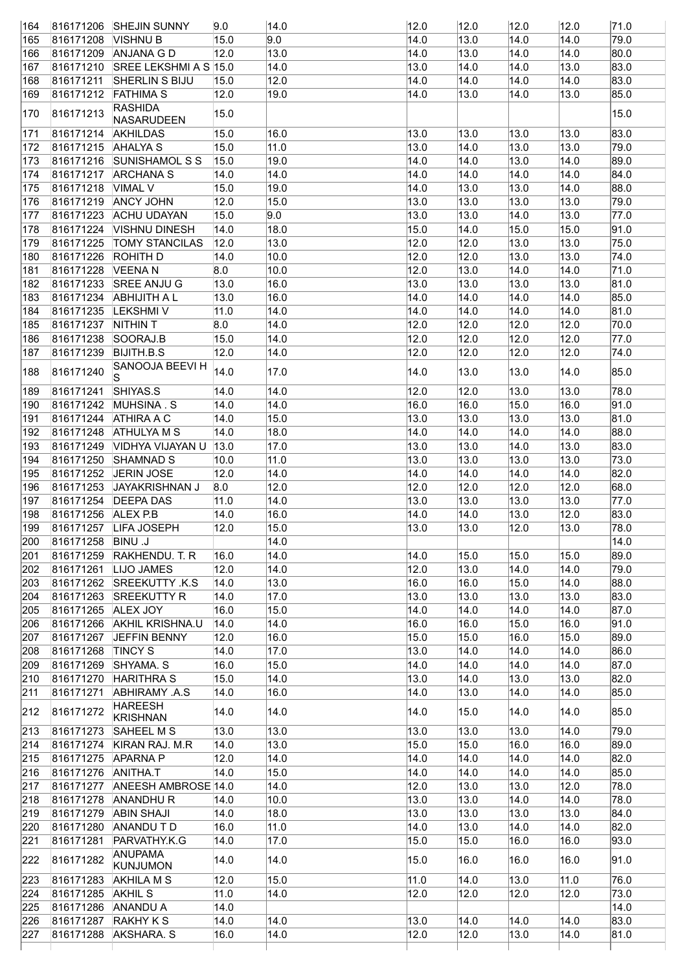| 164 |                    | 816171206 SHEJIN SUNNY          | 9.0  | 14.0 | 12.0 | 12.0 | 12.0 | 12.0 | 71.0         |
|-----|--------------------|---------------------------------|------|------|------|------|------|------|--------------|
| 165 | 816171208 VISHNU B |                                 | 15.0 | 9.0  | 14.0 | 13.0 | 14.0 | 14.0 | 79.0         |
| 166 |                    | 816171209 ANJANA G D            | 12.0 | 13.0 | 14.0 | 13.0 | 14.0 | 14.0 | 80.0         |
| 167 |                    | 816171210 SREE LEKSHMI A S 15.0 |      | 14.0 | 13.0 | 14.0 | 14.0 | 13.0 | 83.0         |
| 168 |                    | 816171211 SHERLIN S BIJU        | 15.0 | 12.0 | 14.0 | 14.0 | 14.0 | 14.0 | 83.0         |
| 169 |                    | 816171212 FATHIMA S             | 12.0 | 19.0 | 14.0 | 13.0 | 14.0 | 13.0 | 85.0         |
|     |                    | <b>RASHIDA</b>                  |      |      |      |      |      |      |              |
| 170 | 816171213          | NASARUDEEN                      | 15.0 |      |      |      |      |      | 15.0         |
| 171 | 816171214 AKHILDAS |                                 | 15.0 | 16.0 | 13.0 | 13.0 | 13.0 | 13.0 | 83.0         |
|     |                    |                                 |      |      |      |      |      |      |              |
| 172 | 816171215 AHALYA S |                                 | 15.0 | 11.0 | 13.0 | 14.0 | 13.0 | 13.0 | 79.0         |
| 173 |                    | 816171216 SUNISHAMOL S S        | 15.0 | 19.0 | 14.0 | 14.0 | 13.0 | 14.0 | 89.0         |
| 174 |                    | 816171217 ARCHANA S             | 14.0 | 14.0 | 14.0 | 14.0 | 14.0 | 14.0 | 84.0         |
| 175 | 816171218 VIMAL V  |                                 | 15.0 | 19.0 | 14.0 | 13.0 | 13.0 | 14.0 | 88.0         |
| 176 |                    | 816171219 ANCY JOHN             | 12.0 | 15.0 | 13.0 | 13.0 | 13.0 | 13.0 | 79.0         |
| 177 |                    | 816171223 ACHU UDAYAN           | 15.0 | 9.0  | 13.0 | 13.0 | 14.0 | 13.0 | 77.0         |
| 178 |                    | 816171224 VISHNU DINESH         | 14.0 | 18.0 | 15.0 | 14.0 | 15.0 | 15.0 | 91.0         |
| 179 |                    | 816171225 TOMY STANCILAS        | 12.0 | 13.0 | 12.0 | 12.0 | 13.0 | 13.0 | 75.0         |
| 180 | 816171226 ROHITH D |                                 | 14.0 | 10.0 | 12.0 | 12.0 | 13.0 | 13.0 | 74.0         |
| 181 | 816171228          | <b>VEENAN</b>                   | 8.0  | 10.0 | 12.0 | 13.0 | 14.0 | 14.0 | 71.0         |
|     |                    |                                 |      |      |      |      |      |      |              |
| 182 | 816171233          | <b>SREE ANJU G</b>              | 13.0 | 16.0 | 13.0 | 13.0 | 13.0 | 13.0 | 81.0         |
| 183 |                    | 816171234 ABHIJITH A L          | 13.0 | 16.0 | 14.0 | 14.0 | 14.0 | 14.0 | 85.0         |
| 184 | 816171235          | <b>LEKSHMIV</b>                 | 11.0 | 14.0 | 14.0 | 14.0 | 14.0 | 14.0 | 81.0         |
| 185 | 816171237          | <b>NITHIN T</b>                 | 8.0  | 14.0 | 12.0 | 12.0 | 12.0 | 12.0 | 70.0         |
| 186 | 816171238          | SOORAJ.B                        | 15.0 | 14.0 | 12.0 | 12.0 | 12.0 | 12.0 | 77.0         |
| 187 | 816171239          | <b>BIJITH.B.S</b>               | 12.0 | 14.0 | 12.0 | 12.0 | 12.0 | 12.0 | 74.0         |
|     |                    | SANOOJA BEEVI H                 | 14.0 |      |      |      |      |      |              |
| 188 | 816171240          | <sub>S</sub>                    |      | 17.0 | 14.0 | 13.0 | 13.0 | 14.0 | 85.0         |
| 189 | 816171241          | SHIYAS.S                        | 14.0 | 14.0 | 12.0 | 12.0 | 13.0 | 13.0 | 78.0         |
| 190 | 816171242          | MUHSINA . S                     | 14.0 | 14.0 | 16.0 | 16.0 | 15.0 | 16.0 | 91.0         |
| 191 |                    | 816171244 ATHIRA A C            | 14.0 | 15.0 | 13.0 | 13.0 | 13.0 | 13.0 | 81.0         |
| 192 | 816171248          | <b>ATHULYA M S</b>              | 14.0 | 18.0 | 14.0 | 14.0 | 14.0 | 14.0 | 88.0         |
| 193 |                    | 816171249 VIDHYA VIJAYAN U      | 13.0 | 17.0 | 13.0 | 13.0 | 14.0 | 13.0 | 83.0         |
|     |                    |                                 |      |      |      |      |      |      |              |
| 194 | 816171250          | <b>SHAMNAD S</b>                | 10.0 | 11.0 | 13.0 | 13.0 | 13.0 | 13.0 | 73.0         |
| 195 | 816171252          | JERIN JOSE                      | 12.0 | 14.0 | 14.0 | 14.0 | 14.0 | 14.0 | 82.0         |
| 196 | 816171253          | JAYAKRISHNAN J                  | 8.0  | 12.0 | 12.0 | 12.0 | 12.0 | 12.0 | 68.0         |
| 197 | 816171254          | <b>DEEPA DAS</b>                | 11.0 | 14.0 | 13.0 | 13.0 | 13.0 | 13.0 | 77.0         |
| 198 | 816171256 ALEX P.B |                                 | 14.0 | 16.0 | 14.0 | 14.0 | 13.0 | 12.0 | 83.0         |
| 199 |                    | 816171257 LIFA JOSEPH           | 12.0 | 15.0 | 13.0 | 13.0 | 12.0 | 13.0 | 78.0         |
| 200 | 816171258          | <b>BINU.J</b>                   |      | 14.0 |      |      |      |      | 14.0         |
| 201 | 816171259          | RAKHENDU. T. R                  | 16.0 | 14.0 | 14.0 | 15.0 | 15.0 | 15.0 | 89.0         |
| 202 | 816171261          | LIJO JAMES                      | 12.0 | 14.0 | 12.0 | 13.0 | 14.0 | 14.0 | 79.0         |
| 203 |                    | 816171262 SREEKUTTY K.S         | 14.0 | 13.0 | 16.0 | 16.0 | 15.0 | 14.0 | 88.0         |
|     |                    |                                 |      |      |      |      |      |      |              |
| 204 | 816171263          | <b>SREEKUTTY R</b>              | 14.0 | 17.0 | 13.0 | 13.0 | 13.0 | 13.0 | 83.0         |
| 205 | 816171265 ALEX JOY |                                 | 16.0 | 15.0 | 14.0 | 14.0 | 14.0 | 14.0 | 87.0         |
| 206 |                    | 816171266 AKHIL KRISHNA.U       | 14.0 | 14.0 | 16.0 | 16.0 | 15.0 | 16.0 | 91.0         |
| 207 | 816171267          | <b>JEFFIN BENNY</b>             | 12.0 | 16.0 | 15.0 | 15.0 | 16.0 | 15.0 | 89.0         |
| 208 | 816171268          | <b>TINCY S</b>                  | 14.0 | 17.0 | 13.0 | 14.0 | 14.0 | 14.0 | 86.0         |
| 209 | 816171269          | SHYAMA. S                       | 16.0 | 15.0 | 14.0 | 14.0 | 14.0 | 14.0 | 87.0         |
| 210 | 816171270          | <b>HARITHRA S</b>               | 15.0 | 14.0 | 13.0 | 14.0 | 13.0 | 13.0 | 82.0         |
| 211 | 816171271          | ABHIRAMY .A.S                   | 14.0 | 16.0 | 14.0 | 13.0 | 14.0 | 14.0 | 85.0         |
|     |                    | <b>HAREESH</b>                  |      |      |      |      |      |      |              |
| 212 | 816171272          | <b>KRISHNAN</b>                 | 14.0 | 14.0 | 14.0 | 15.0 | 14.0 | 14.0 | 85.0         |
| 213 | 816171273          | SAHEEL M S                      | 13.0 | 13.0 | 13.0 | 13.0 | 13.0 | 14.0 | 79.0         |
|     |                    |                                 |      |      |      |      |      |      |              |
| 214 | 816171274          | KIRAN RAJ. M.R                  | 14.0 | 13.0 | 15.0 | 15.0 | 16.0 | 16.0 | 89.0         |
| 215 | 816171275 APARNA P |                                 | 12.0 | 14.0 | 14.0 | 14.0 | 14.0 | 14.0 | 82.0         |
| 216 | 816171276 ANITHA.T |                                 | 14.0 | 15.0 | 14.0 | 14.0 | 14.0 | 14.0 | 85.0         |
| 217 |                    | 816171277 ANEESH AMBROSE 14.0   |      | 14.0 | 12.0 | 13.0 | 13.0 | 12.0 | 78.0         |
| 218 |                    | 816171278 ANANDHU R             | 14.0 | 10.0 | 13.0 | 13.0 | 14.0 | 14.0 | 78.0         |
| 219 |                    | 816171279 ABIN SHAJI            | 14.0 | 18.0 | 13.0 | 13.0 | 13.0 | 13.0 | 84.0         |
| 220 | 816171280          | ANANDU T D                      | 16.0 | 11.0 | 14.0 | 13.0 | 14.0 | 14.0 | 82.0         |
| 221 | 816171281          | PARVATHY.K.G                    | 14.0 | 17.0 | 15.0 | 15.0 | 16.0 | 16.0 | 93.0         |
|     |                    | ANUPAMA                         |      |      |      |      |      |      |              |
| 222 | 816171282          | <b>KUNJUMON</b>                 | 14.0 | 14.0 | 15.0 | 16.0 | 16.0 | 16.0 | 91.0         |
| 223 |                    |                                 |      |      | 11.0 |      |      | 11.0 | 76.0         |
|     | 816171283          | AKHILA M S                      | 12.0 | 15.0 |      | 14.0 | 13.0 |      |              |
| 224 | 816171285 AKHIL S  |                                 | 11.0 | 14.0 | 12.0 | 12.0 | 12.0 | 12.0 | 73.0         |
| 225 |                    | 816171286 ANANDU A              | 14.0 |      |      |      |      |      | 14.0         |
|     | 816171287          | <b>RAKHY K S</b>                | 14.0 | 14.0 | 13.0 | 14.0 | 14.0 | 14.0 | 83.0<br>81.0 |
| 226 | 816171288          |                                 |      |      |      | 12.0 |      | 14.0 |              |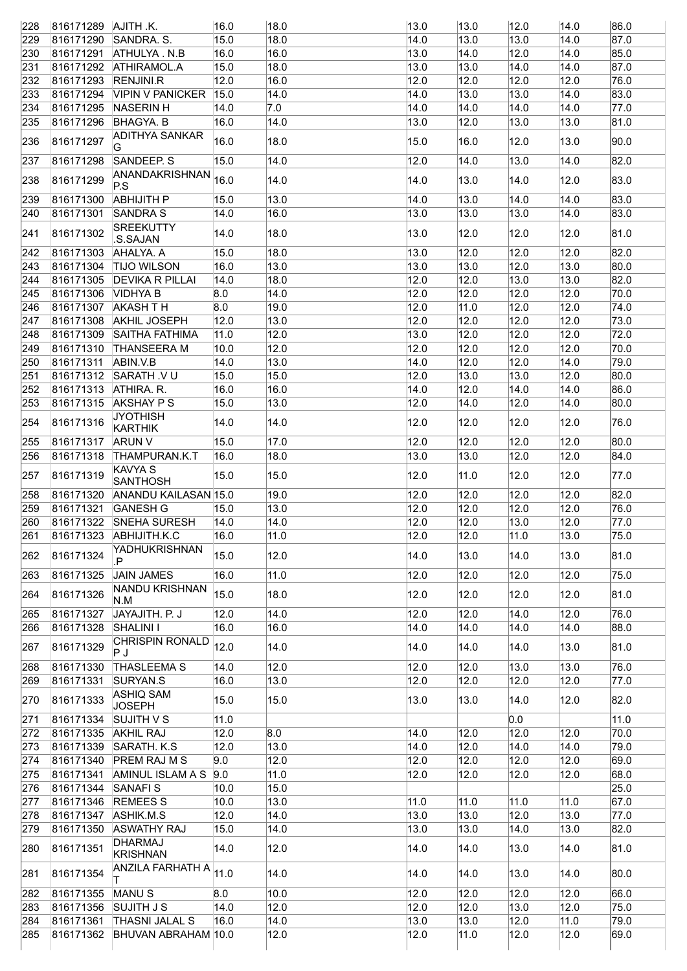| 228        | 816171289 AJITH K.   |                                                        | 16.0 | 18.0           | 13.0         | 13.0          | 12.0         | 14.0          | 86.0         |
|------------|----------------------|--------------------------------------------------------|------|----------------|--------------|---------------|--------------|---------------|--------------|
| 229        |                      | 816171290 SANDRA. S.                                   | 15.0 | 18.0           | 14.0         | 13.0          | 13.0         | 14.0          | 87.0         |
| 230        |                      | 816171291 ATHULYA. N.B                                 | 16.0 | 16.0           | 13.0         | 14.0          | 12.0         | 14.0          | 85.0         |
| 231        |                      | 816171292 ATHIRAMOL.A                                  | 15.0 | 18.0           | 13.0         | 13.0          | 14.0         | 14.0          | 87.0         |
| 232        | 816171293 RENJINI.R  |                                                        | 12.0 | 16.0           | 12.0         | 12.0          | 12.0         | 12.0          | 76.0         |
| 233        |                      | 816171294 VIPIN V PANICKER                             | 15.0 | 14.0           | 14.0         | 13.0          | 13.0         | 14.0          | 83.0         |
| 234        |                      | 816171295 NASERIN H                                    | 14.0 | 7.0            | 14.0         | 14.0          | 14.0         | 14.0          | 77.0         |
| 235        |                      | 816171296 BHAGYA. B                                    | 16.0 | 14.0           | 13.0         | 12.0          | 13.0         | 13.0          | 81.0         |
|            |                      |                                                        |      |                |              |               |              |               |              |
| 236        | 816171297            | <b>ADITHYA SANKAR</b><br>G                             | 16.0 | 18.0           | 15.0         | 16.0          | 12.0         | 13.0          | 90.0         |
| 237        | 816171298            | SANDEEP. S                                             | 15.0 | 14.0           | 12.0         | 14.0          | 13.0         | 14.0          | 82.0         |
| 238        | 816171299            | ANANDAKRISHNAN 16.0<br>PS                              |      | 14.0           | 14.0         | 13.0          | 14.0         | 12.0          | 83.0         |
| 239        | 816171300            | <b>ABHIJITH P</b>                                      | 15.0 | 13.0           | 14.0         | 13.0          | 14.0         | 14.0          | 83.0         |
| 240        | 816171301            | <b>SANDRA S</b>                                        | 14.0 | 16.0           | 13.0         | 13.0          | 13.0         | 14.0          | 83.0         |
| 241        | 816171302            | <b>SREEKUTTY</b><br>.S.SAJAN                           | 14.0 | 18.0           | 13.0         | 12.0          | 12.0         | 12.0          | 81.0         |
| 242        | 816171303            | AHALYA. A                                              | 15.0 | 18.0           | 13.0         | 12.0          | 12.0         | 12.0          | 82.0         |
| 243        | 816171304            | <b>TIJO WILSON</b>                                     | 16.0 | 13.0           | 13.0         | 13.0          | 12.0         | 13.0          | 80.0         |
| 244        | 816171305            | <b>DEVIKA R PILLAI</b>                                 | 14.0 | 18.0           | 12.0         | 12.0          | 13.0         | 13.0          | 82.0         |
| 245        | 816171306 VIDHYA B   |                                                        | 8.0  | 14.0           | 12.0         | 12.0          | 12.0         | 12.0          | 70.0         |
| 246        |                      | 816171307 AKASH T H                                    | 8.0  | 19.0           | 12.0         | 11.0          | 12.0         | 12.0          | 74.0         |
| 247        | 816171308            | <b>AKHIL JOSEPH</b>                                    | 12.0 | 13.0           | 12.0         | 12.0          | 12.0         | 12.0          | 73.0         |
| 248        | 816171309            | <b>SAITHA FATHIMA</b>                                  | 11.0 | 12.0           | 13.0         | 12.0          | 12.0         | 12.0          | 72.0         |
|            |                      |                                                        |      |                |              |               |              |               | 70.0         |
| 249        |                      | 816171310 THANSEERA M                                  | 10.0 | 12.0           | 12.0         | 12.0          | 12.0         | 12.0          |              |
| 250        | 816171311            | ABIN.V.B                                               | 14.0 | 13.0           | 14.0         | 12.0          | 12.0         | 14.0          | 79.0         |
| 251        |                      | 816171312 SARATH V U                                   | 15.0 | 15.0           | 12.0         | 13.0          | 13.0         | 12.0          | 80.0         |
| 252        | 816171313 ATHIRA. R. |                                                        | 16.0 | 16.0           | 14.0         | 12.0          | 14.0         | 14.0          | 86.0         |
| 253        |                      | 816171315 AKSHAY P S                                   | 15.0 | 13.0           | 12.0         | 14.0          | 12.0         | 14.0          | 80.0         |
| 254        | 816171316            | <b>JYOTHISH</b><br><b>KARTHIK</b>                      | 14.0 | 14.0           | 12.0         | 12.0          | 12.0         | 12.0          | 76.0         |
| 255        | 816171317            | ARUN V                                                 | 15.0 | 17.0           | 12.0         | 12.0          | 12.0         | 12.0          | 80.0         |
| 256        | 816171318            | THAMPURAN.K.T                                          | 16.0 | 18.0           | 13.0         | 13.0          | 12.0         | 12.0          | 84.0         |
| 257        | 816171319            | KAVYA S<br><b>SANTHOSH</b>                             | 15.0 | 15.0           | 12.0         | 11.0          | 12.0         | 12.0          | 77.0         |
|            |                      | ANANDU KAILASAN 15.0                                   |      |                |              | 12.0          | 12.0         | 12.0          | 82.0         |
| 258        | 816171320            |                                                        |      | 19.0           | 12.0         |               |              |               |              |
| 259        | 816171321            | <b>GANESH G</b>                                        | 15.0 | 13.0           | 12.0         | 12.0          | 12.0         | 12.0          | 76.0         |
| 260        |                      | 816171322 SNEHA SURESH                                 | 14.0 | 14.0           | 12.0         | 12.0          | 13.0         | 12.0          | 77.0         |
| 261        |                      | 816171323 ABHIJITH.K.C                                 | 16.0 | 11.0           | 12.0         | 12.0          | 11.0         | 13.0          | 75.0         |
| 262        | 816171324            | YADHUKRISHNAN<br>P                                     | 15.0 | 12.0           | 14.0         | 13.0          | 14.0         | 13.0          | 81.0         |
| 263        | 816171325            | <b>JAIN JAMES</b>                                      | 16.0 | 11.0           | 12.0         | 12.0          | 12.0         | 12.0          | 75.0         |
| 264        | 816171326            | NANDU KRISHNAN<br>N.M                                  | 15.0 | 18.0           | 12.0         | 12.0          | 12.0         | 12.0          | 81.0         |
| 265        | 816171327            | JAYAJITH. P. J                                         | 12.0 | 14.0           | 12.0         | 12.0          | 14.0         | $\sqrt{12.0}$ | 76.0         |
| 266        | 816171328            | <b>SHALINI I</b>                                       | 16.0 | 16.0           | 14.0         | 14.0          | 14.0         | 14.0          | 88.0         |
| 267        | 816171329            | CHRISPIN RONALD<br>P J                                 | 12.0 | 14.0           | 14.0         | 14.0          | 14.0         | 13.0          | 81.0         |
| 268        | 816171330            | <b>THASLEEMA S</b>                                     | 14.0 | 12.0           | 12.0         | 12.0          | 13.0         | 13.0          | 76.0         |
| 269        | 816171331            | SURYAN.S                                               | 16.0 | 13.0           | 12.0         | 12.0          | 12.0         | 12.0          | 77.0         |
| 270        | 816171333            | <b>ASHIQ SAM</b><br><b>JOSEPH</b>                      | 15.0 | 15.0           | 13.0         | 13.0          | 14.0         | 12.0          | 82.0         |
| 271        | 816171334            | <b>SUJITH V S</b>                                      | 11.0 |                |              |               | 0.0          |               | 11.0         |
| 272        | 816171335            | <b>AKHIL RAJ</b>                                       | 12.0 | 8.0            | 14.0         | 12.0          | 12.0         | 12.0          | 70.0         |
| 273        | 816171339            | SARATH. K.S.                                           | 12.0 | 13.0           | 14.0         | 12.0          | 14.0         | 14.0          | 79.0         |
| 274        | 816171340            | <b>PREM RAJ M S</b>                                    | 9.0  | 12.0           | 12.0         | 12.0          | 12.0         | 12.0          | 69.0         |
| 275        | 816171341            | AMINUL ISLAM A S 9.0                                   |      | 11.0           | 12.0         | 12.0          | 12.0         | 12.0          | 68.0         |
| 276        |                      |                                                        |      |                |              |               |              |               | 25.0         |
|            | 816171344            | <b>SANAFIS</b>                                         | 10.0 | 15.0           |              |               |              |               |              |
| 277        | 816171346            | <b>REMEES S</b>                                        | 10.0 | 13.0           | 11.0         | 11.0          | 11.0         | 11.0          | 67.0         |
| 278        | 816171347 ASHIK.M.S  |                                                        | 12.0 | 14.0           | 13.0         | 13.0          | 12.0         | 13.0          | 77.0         |
| 279        | 816171350            | <b>ASWATHY RAJ</b>                                     | 15.0 | 14.0           | 13.0         | 13.0          | 14.0         | 13.0          | 82.0         |
| 280        | 816171351            | DHARMAJ<br><b>KRISHNAN</b>                             | 14.0 | 12.0           | 14.0         | 14.0          | 13.0         | 14.0          | 81.0         |
| 281        | 816171354            | ANZILA FARHATH A 11.0                                  |      | 14.0           | 14.0         | 14.0          | 13.0         | 14.0          | 80.0         |
|            |                      |                                                        |      |                |              |               |              |               |              |
| 282        | 816171355            | <b>MANUS</b>                                           | 8.0  | 10.0           | 12.0         | 12.0          | 12.0         | 12.0          | 66.0         |
|            |                      | 816171356 SUJITH J S                                   | 14.0 | 12.0           | 12.0         | 12.0          | 13.0         | 12.0          | 75.0         |
| 283        |                      |                                                        |      |                |              |               |              |               |              |
| 284<br>285 | 816171361            | <b>THASNI JALAL S</b><br>816171362 BHUVAN ABRAHAM 10.0 | 16.0 | 14.0 <br> 12.0 | 13.0<br>12.0 | 13.0<br> 11.0 | 12.0<br>12.0 | 11.0 <br>12.0 | 79.0<br>69.0 |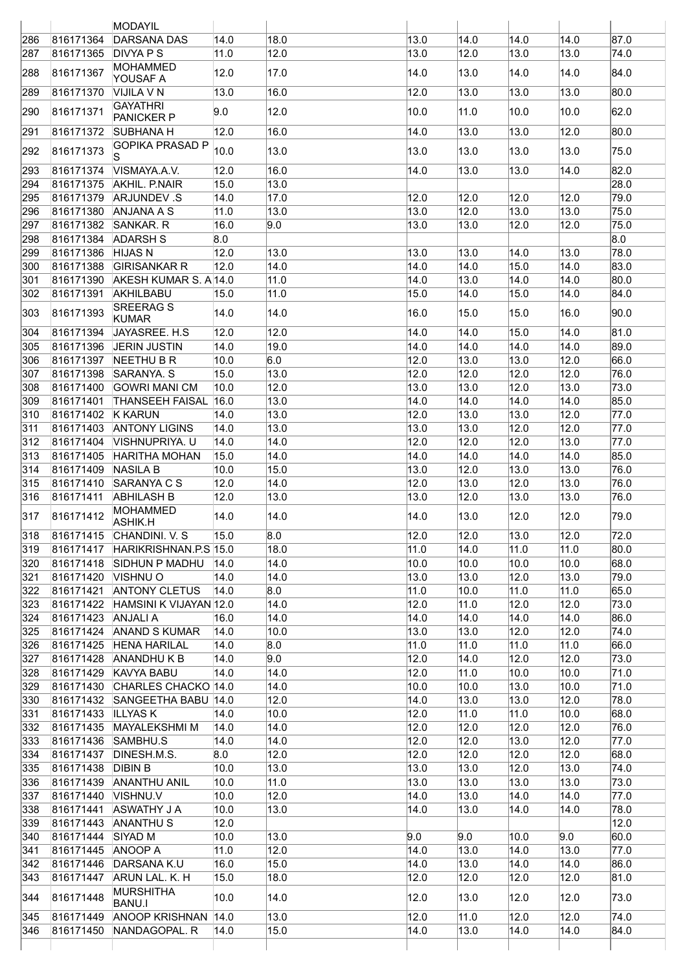|            |                    | <b>MODAYIL</b>                                           |      |      |      |      |      |      |      |
|------------|--------------------|----------------------------------------------------------|------|------|------|------|------|------|------|
| 286        | 816171364          | <b>DARSANA DAS</b>                                       | 14.0 | 18.0 | 13.0 | 14.0 | 14.0 | 14.0 | 87.0 |
| 287        | 816171365          | <b>DIVYA P S</b>                                         | 11.0 | 12.0 | 13.0 | 12.0 | 13.0 | 13.0 | 74.0 |
| 288        | 816171367          | <b>MOHAMMED</b><br>YOUSAF A                              | 12.0 | 17.0 | 14.0 | 13.0 | 14.0 | 14.0 | 84.0 |
| 289        | 816171370          | VIJILA V N                                               | 13.0 | 16.0 | 12.0 | 13.0 | 13.0 | 13.0 | 80.0 |
| 290        | 816171371          | <b>GAYATHRI</b><br><b>PANICKER P</b>                     | 9.0  | 12.0 | 10.0 | 11.0 | 10.0 | 10.0 | 62.0 |
| 291        | 816171372          | <b>SUBHANA H</b>                                         | 12.0 | 16.0 | 14.0 | 13.0 | 13.0 | 12.0 | 80.0 |
| 292        | 816171373          | <b>GOPIKA PRASAD P</b>                                   | 10.0 | 13.0 | 13.0 | 13.0 | 13.0 | 13.0 | 75.0 |
| 293        | 816171374          | S<br>VISMAYA.A.V.                                        | 12.0 | 16.0 | 14.0 | 13.0 | 13.0 | 14.0 | 82.0 |
| 294        |                    | 816171375 AKHIL. P.NAIR                                  | 15.0 | 13.0 |      |      |      |      | 28.0 |
| 295        |                    | 816171379 ARJUNDEV .S                                    | 14.0 | 17.0 | 12.0 | 12.0 | 12.0 | 12.0 | 79.0 |
| 296        |                    | 816171380 ANJANA A S                                     | 11.0 | 13.0 | 13.0 | 12.0 | 13.0 | 13.0 | 75.0 |
| 297        |                    | 816171382 SANKAR. R                                      | 16.0 | 9.0  | 13.0 | 13.0 | 12.0 | 12.0 | 75.0 |
| 298        | 816171384 ADARSH S |                                                          | 8.0  |      |      |      |      |      | 8.0  |
| 299        | 816171386          | <b>HIJAS N</b>                                           | 12.0 | 13.0 | 13.0 | 13.0 | 14.0 | 13.0 | 78.0 |
| 300        |                    | 816171388 GIRISANKAR R                                   | 12.0 | 14.0 | 14.0 | 14.0 | 15.0 | 14.0 | 83.0 |
|            |                    |                                                          |      |      |      |      |      |      |      |
| 301        |                    | 816171390 AKESH KUMAR S. A 14.0                          |      | 11.0 | 14.0 | 13.0 | 14.0 | 14.0 | 80.0 |
| 302        | 816171391          | AKHILBABU<br><b>SREERAG S</b>                            | 15.0 | 11.0 | 15.0 | 14.0 | 15.0 | 14.0 | 84.0 |
| 303        | 816171393          | <b>KUMAR</b>                                             | 14.0 | 14.0 | 16.0 | 15.0 | 15.0 | 16.0 | 90.0 |
| 304        | 816171394          | JAYASREE. H.S.                                           | 12.0 | 12.0 | 14.0 | 14.0 | 15.0 | 14.0 | 81.0 |
| 305        | 816171396          | <b>JERIN JUSTIN</b>                                      | 14.0 | 19.0 | 14.0 | 14.0 | 14.0 | 14.0 | 89.0 |
| 306        | 816171397          | NEETHU B R                                               | 10.0 | 6.0  | 12.0 | 13.0 | 13.0 | 12.0 | 66.0 |
| 307        | 816171398          | SARANYA. S                                               | 15.0 | 13.0 | 12.0 | 12.0 | 12.0 | 12.0 | 76.0 |
| 308        | 816171400          | <b>GOWRI MANI CM</b>                                     | 10.0 | 12.0 | 13.0 | 13.0 | 12.0 | 13.0 | 73.0 |
| 309        | 816171401          | THANSEEH FAISAL 16.0                                     |      | 13.0 | 14.0 | 14.0 | 14.0 | 14.0 | 85.0 |
|            |                    |                                                          |      |      |      |      |      |      |      |
| 310        | 816171402 K KARUN  |                                                          | 14.0 | 13.0 | 12.0 | 13.0 | 13.0 | 12.0 | 77.0 |
| 311        | 816171403          | <b>ANTONY LIGINS</b>                                     | 14.0 | 13.0 | 13.0 | 13.0 | 12.0 | 12.0 | 77.0 |
| 312        | 816171404          | VISHNUPRIYA. U                                           | 14.0 | 14.0 | 12.0 | 12.0 | 12.0 | 13.0 | 77.0 |
| 313        | 816171405          | <b>HARITHA MOHAN</b>                                     | 15.0 | 14.0 | 14.0 | 14.0 | 14.0 | 14.0 | 85.0 |
| 314        | 816171409          | <b>NASILA B</b>                                          | 10.0 | 15.0 | 13.0 | 12.0 | 13.0 | 13.0 | 76.0 |
| 315        | 816171410          | SARANYA C S                                              | 12.0 | 14.0 | 12.0 | 13.0 | 12.0 | 13.0 | 76.0 |
| 316        | 816171411          | <b>ABHILASH B</b>                                        | 12.0 | 13.0 | 13.0 | 12.0 | 13.0 | 13.0 | 76.0 |
| 317        | 816171412          | <b>MOHAMMED</b><br>ASHIK.H                               | 14.0 | 14.0 | 14.0 | 13.0 | 12.0 | 12.0 | 79.0 |
| 318        |                    | 816171415 CHANDINI. V. S                                 | 15.0 | 8.0  | 12.0 | 12.0 | 13.0 | 12.0 | 72.0 |
| 319        |                    | 816171417 HARIKRISHNAN.P.S 15.0                          |      | 18.0 | 11.0 | 14.0 | 11.0 | 11.0 | 80.0 |
| 320        | 816171418          | SIDHUN P MADHU                                           | 14.0 | 14.0 | 10.0 | 10.0 | 10.0 | 10.0 | 68.0 |
| 321        | 816171420          | VISHNU O                                                 | 14.0 | 14.0 | 13.0 | 13.0 | 12.0 | 13.0 | 79.0 |
| 322        | 816171421          | <b>ANTONY CLETUS</b>                                     | 14.0 | 8.0  | 11.0 | 10.0 | 11.0 | 11.0 | 65.0 |
| 323        | 816171422          | HAMSINI K VIJAYAN 12.0                                   |      | 14.0 | 12.0 | 11.0 | 12.0 | 12.0 | 73.0 |
|            |                    |                                                          |      |      |      |      |      |      |      |
| 324        | 816171423          | <b>ANJALI A</b>                                          | 16.0 | 14.0 | 14.0 | 14.0 | 14.0 | 14.0 | 86.0 |
| 325        |                    | 816171424 ANAND S KUMAR                                  | 14.0 | 10.0 | 13.0 | 13.0 | 12.0 | 12.0 | 74.0 |
| 326        | 816171425          | <b>HENA HARILAL</b>                                      | 14.0 | 8.0  | 11.0 | 11.0 | 11.0 | 11.0 | 66.0 |
| 327        | 816171428          | ANANDHUKB                                                | 14.0 | 9.0  | 12.0 | 14.0 | 12.0 | 12.0 | 73.0 |
| 328        | 816171429          | <b>KAVYA BABU</b>                                        | 14.0 | 14.0 | 12.0 | 11.0 | 10.0 | 10.0 | 71.0 |
| 329        | 816171430          | CHARLES CHACKO 14.0                                      |      | 14.0 | 10.0 | 10.0 | 13.0 | 10.0 | 71.0 |
| 330        | 816171432          | SANGEETHA BABU  14.0                                     |      | 12.0 | 14.0 | 13.0 | 13.0 | 12.0 | 78.0 |
| 331        | 816171433          | <b>ILLYAS K</b>                                          | 14.0 | 10.0 | 12.0 | 11.0 | 11.0 | 10.0 | 68.0 |
| 332        | 816171435          | MAYALEKSHMI M                                            | 14.0 | 14.0 | 12.0 | 12.0 | 12.0 | 12.0 | 76.0 |
| 333        | 816171436          | SAMBHU.S                                                 | 14.0 | 14.0 | 12.0 | 12.0 | 13.0 | 12.0 | 77.0 |
| 334        | 816171437          | DINESH.M.S.                                              | 8.0  | 12.0 | 12.0 | 12.0 | 12.0 | 12.0 | 68.0 |
|            |                    |                                                          |      |      |      |      |      |      |      |
| 335        | 816171438          | <b>DIBIN B</b>                                           | 10.0 | 13.0 | 13.0 | 13.0 | 12.0 | 13.0 | 74.0 |
| 336        | 816171439          | <b>ANANTHU ANIL</b>                                      | 10.0 | 11.0 | 13.0 | 13.0 | 13.0 | 13.0 | 73.0 |
| 337        | 816171440          | VISHNU.V                                                 | 10.0 | 12.0 | 14.0 | 13.0 | 14.0 | 14.0 | 77.0 |
| 338        | 816171441          | ASWATHY J A                                              | 10.0 | 13.0 | 14.0 | 13.0 | 14.0 | 14.0 | 78.0 |
| 339        |                    | 816171443 ANANTHU S                                      | 12.0 |      |      |      |      |      | 12.0 |
| 340        | 816171444          | SIYAD M                                                  | 10.0 | 13.0 | 9.0  | 9.0  | 10.0 | 9.0  | 60.0 |
| 341        | 816171445          | ANOOP A                                                  | 11.0 | 12.0 | 14.0 | 13.0 | 14.0 | 13.0 | 77.0 |
| 342        | 816171446          | DARSANA K.U                                              | 16.0 | 15.0 | 14.0 | 13.0 | 14.0 | 14.0 | 86.0 |
| 343        | 816171447          | ARUN LAL. K. H                                           | 15.0 | 18.0 | 12.0 | 12.0 | 12.0 | 12.0 | 81.0 |
| 344        |                    | <b>MURSHITHA</b>                                         |      |      |      |      |      |      |      |
|            | 816171448          | <b>BANU.I</b>                                            | 10.0 | 14.0 | 12.0 | 13.0 | 12.0 | 12.0 | 73.0 |
|            |                    |                                                          |      | 13.0 | 12.0 | 11.0 | 12.0 | 12.0 | 74.0 |
| 345<br>346 |                    | 816171449 ANOOP KRISHNAN 14.0<br>816171450 NANDAGOPAL. R | 14.0 | 15.0 | 14.0 | 13.0 | 14.0 | 14.0 | 84.0 |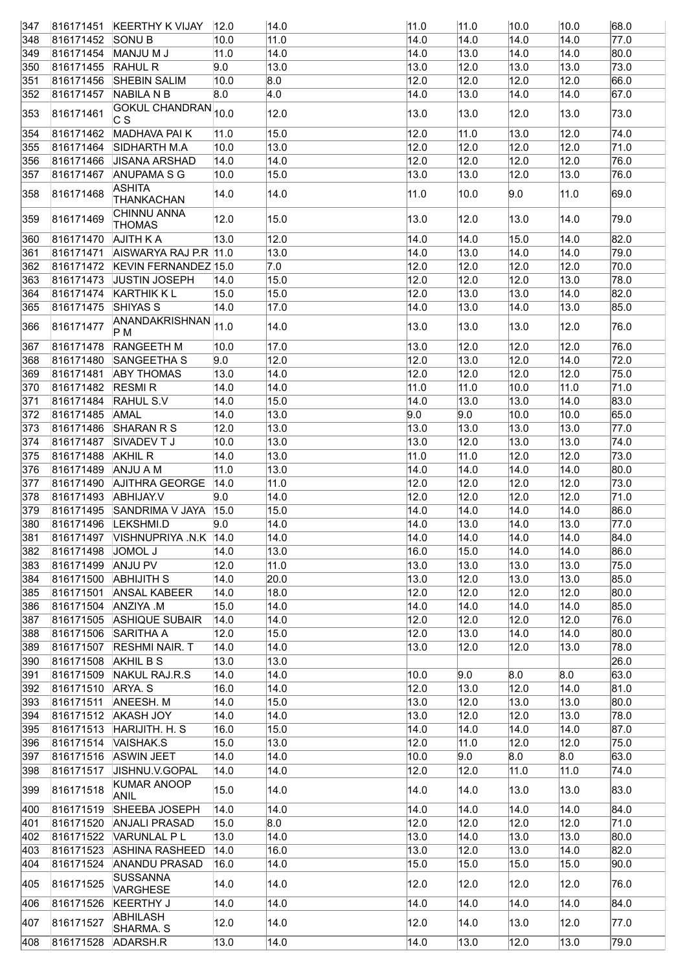| 347        | 816171451              | <b>KEERTHY K VIJAY</b>                  | 12.0         | 14.0         | 11.0         | 11.0          | 10.0         | 10.0             | 68.0         |
|------------|------------------------|-----------------------------------------|--------------|--------------|--------------|---------------|--------------|------------------|--------------|
| 348        | 816171452              | <b>SONU B</b>                           | 10.0         | 11.0         | 14.0         | 14.0          | 14.0         | 14.0             | 77.0         |
| 349        | 816171454              | MANJU M J                               | 11.0         | 14.0         | 14.0         | 13.0          | 14.0         | 14.0             | 80.0         |
| 350        | 816171455              | <b>RAHUL R</b>                          | 9.0          | 13.0         | 13.0         | 12.0          | 13.0         | 13.0             | 73.0         |
| 351        | 816171456              | <b>SHEBIN SALIM</b>                     | 10.0         | 8.0          | 12.0         | 12.0          | 12.0         | 12.0             | 66.0         |
| 352        | 816171457              | NABILA N B                              | 8.0          | 4.0          | 14.0         | 13.0          | 14.0         | 14.0             | 67.0         |
| 353        | 816171461              | GOKUL CHANDRAN <sub>10.0</sub><br>C S   |              | 12.0         | 13.0         | 13.0          | 12.0         | 13.0             | 73.0         |
| 354        | 816171462              | <b>MADHAVA PAI K</b>                    | 11.0         | 15.0         | 12.0         | 11.0          | 13.0         | 12.0             | 74.0         |
| 355        | 816171464              | SIDHARTH M.A                            | 10.0         | 13.0         | 12.0         | 12.0          | 12.0         | 12.0             | 71.0         |
| 356        | 816171466              | <b>JISANA ARSHAD</b>                    | 14.0         | 14.0         | 12.0         | 12.0          | 12.0         | 12.0             | 76.0         |
| 357        | 816171467              | <b>ANUPAMA S G</b>                      | 10.0         | 15.0         | 13.0         | 13.0          | 12.0         | 13.0             | 76.0         |
| 358        | 816171468              | ASHITA<br>THANKACHAN                    | 14.0         | 14.0         | 11.0         | 10.0          | 9.0          | 11.0             | 69.0         |
| 359        | 816171469              | CHINNU ANNA<br>THOMAS                   | 12.0         | 15.0         | 13.0         | 12.0          | 13.0         | 14.0             | 79.0         |
| 360        | 816171470              | AJITH K A                               | 13.0         | 12.0         | 14.0         | 14.0          | 15.0         | 14.0             | 82.0         |
| 361        | 816171471              | AISWARYA RAJ P.R 11.0                   |              | 13.0         | 14.0         | 13.0          | 14.0         | 14.0             | 79.0         |
| 362        | 816171472              | KEVIN FERNANDEZ 15.0                    |              | 7.0          | 12.0         | 12.0          | 12.0         | 12.0             | 70.0         |
| 363        | 816171473              | <b>JUSTIN JOSEPH</b>                    | 14.0         | 15.0         | 12.0         | 12.0          | 12.0         | $\sqrt{13.0}$    | 78.0         |
| 364        | 816171474              | <b>KARTHIK KL</b>                       | 15.0         | 15.0         | 12.0         | 13.0          | 13.0         | 14.0             | 82.0         |
| 365        | 816171475              | <b>SHIYAS S</b>                         | 14.0         | 17.0         | 14.0         | 13.0          | 14.0         | 13.0             | 85.0         |
| 366        | 816171477              | ANANDAKRISHNAN<br>P <sub>M</sub>        | 11.0         | 14.0         | 13.0         | 13.0          | 13.0         | 12.0             | 76.0         |
| 367        | 816171478              | <b>RANGEETH M</b>                       | 10.0         | 17.0         | 13.0         | 12.0          | 12.0         | 12.0             | 76.0         |
| 368        | 816171480              | <b>SANGEETHA S</b>                      | 9.0          | 12.0         | 12.0         | 13.0          | 12.0         | 14.0             | 72.0         |
| 369        | 816171481              | <b>ABY THOMAS</b>                       | 13.0         | 14.0         | 12.0         | 12.0          | 12.0         | 12.0             | 75.0         |
| 370        | 816171482              | <b>RESMIR</b>                           | 14.0         | 14.0         | 11.0         | 11.0          | 10.0         | 11.0             | 71.0         |
| 371        | 816171484              | RAHUL S.V                               | 14.0         | 15.0         | 14.0         | 13.0          | 13.0         | 14.0             | 83.0         |
| 372        | 816171485              | AMAL                                    | 14.0         | 13.0         | 9.0          | 9.0           | 10.0         | 10.0             | 65.0         |
| 373        | 816171486              | <b>SHARAN R S</b>                       | 12.0         | 13.0         | 13.0         | 13.0          | 13.0         | 13.0             | 77.0         |
| 374        | 816171487              | SIVADEV TJ                              | 10.0         | 13.0         | 13.0         | 12.0          | 13.0         | 13.0             | 74.0         |
| 375        | 816171488              | <b>AKHIL R</b>                          | 14.0         | 13.0         | 11.0         | 11.0          | 12.0         | 12.0             | 73.0         |
| 376        | 816171489              | ANJU A M                                | 11.0         | 13.0         | 14.0         | 14.0          | 14.0         | 14.0             | 80.0         |
| 377        | 816171490              | <b>AJITHRA GEORGE</b>                   | 14.0         | 11.0         | 12.0         | 12.0          | 12.0         | 12.0             | 73.0         |
| 378        | 816171493              | ABHIJAY.V                               | 9.0          | 14.0         | 12.0         | 12.0          | 12.0         | 12.0             | 71.0         |
| 379        | 816171495              | SANDRIMA V JAYA                         | 15.0         | 15.0         | 14.0         | 14.0          | 14.0         | 14.0             | 86.0         |
| 380        | 816171496 LEKSHMI.D    |                                         | 9.0          | 14.0         | 14.0         | 13.0          | 14.0         | $\sqrt{13.0}$    | 77.0         |
| 381        |                        | 816171497    VISHNUPRIYA    N.K    14.0 |              | 14.0         | 14.0         | $\sqrt{14.0}$ | 14.0         | 14.0             | 84.0         |
| 382        | 816171498              | JOMOL J                                 | 14.0         | 13.0         | 16.0         | 15.0          | 14.0         | 14.0             | 86.0         |
| 383        | 816171499              | ANJU PV                                 | 12.0         | 11.0         | 13.0         | $\sqrt{13.0}$ | 13.0         | 13.0             | 75.0         |
| 384        | 816171500              | <b>ABHIJITH S</b>                       | 14.0         | 20.0         | 13.0         | 12.0          | 13.0         | 13.0             | 85.0         |
| 385        | 816171501              | <b>ANSAL KABEER</b>                     | 14.0         | 18.0         | 12.0         | 12.0          | 12.0         | 12.0             | 80.0         |
| 386        | 816171504              | ANZIYA .M                               | 15.0         | 14.0         | 14.0         | 14.0          | 14.0         | 14.0             | 85.0         |
| 387        | 816171505              | <b>ASHIQUE SUBAIR</b>                   | 14.0         | 14.0         | 12.0         | 12.0          | 12.0         | 12.0             | 76.0         |
| 388        | 816171506              | <b>SARITHA A</b>                        | 12.0         | 15.0         | 12.0         | 13.0          | 14.0         | $\sqrt{14.0}$    | 80.0         |
| 389        | 816171507              | <b>RESHMI NAIR. T</b>                   | 14.0         | 14.0         | 13.0         | 12.0          | 12.0         | $\sqrt{13.0}$    | 78.0         |
| 390        | 816171508              | AKHIL B S                               | 13.0         | 13.0         |              |               |              |                  | 26.0         |
| 391        | 816171509              | <b>NAKUL RAJ.R.S</b>                    | 14.0         | 14.0         | 10.0         | 9.0           | 8.0          | $\overline{8.0}$ | 63.0         |
| 392        | 816171510              | ARYA. S                                 | 16.0         | 14.0         | 12.0         | 13.0          | 12.0         | 14.0             | 81.0         |
| 393        | 816171511              | ANEESH. M                               | 14.0         | 15.0         | 13.0         | 12.0          | 13.0         | 13.0             | 80.0         |
| 394        | 816171512              | <b>AKASH JOY</b>                        | 14.0         | 14.0         | 13.0         | 12.0          | 12.0         | 13.0             | 78.0         |
| 395        | 816171513              | HARIJITH. H. S                          | 16.0         | 15.0         | 14.0         | 14.0          | 14.0         | 14.0             | 87.0         |
| 396        | 816171514              | VAISHAK.S                               | 15.0         | 13.0         | 12.0         | 11.0          | 12.0         | 12.0             | 75.0         |
| 397        | 816171516              | <b>ASWIN JEET</b>                       | 14.0         | 14.0         | 10.0         | 9.0           | 8.0          | 8.0              | 63.0         |
| 398<br>399 | 816171517<br>816171518 | JISHNU.V.GOPAL<br><b>KUMAR ANOOP</b>    | 14.0<br>15.0 | 14.0<br>14.0 | 12.0<br>14.0 | 12.0<br> 14.0 | 11.0<br>13.0 | 11.0<br> 13.0    | 74.0<br>83.0 |
|            |                        | <b>ANIL</b>                             |              |              |              |               |              |                  |              |
| 400        | 816171519              | <b>SHEEBA JOSEPH</b>                    | 14.0         | 14.0         | 14.0         | 14.0          | 14.0         | 14.0             | 84.0         |
| 401        | 816171520              | <b>ANJALI PRASAD</b>                    | 15.0         | 8.0          | 12.0         | 12.0          | 12.0         | 12.0             | 71.0         |
| 402        | 816171522              | VARUNLAL PL                             | 13.0         | 14.0         | 13.0         | 14.0          | 13.0         | 13.0             | 80.0         |
| 403        | 816171523              | <b>ASHINA RASHEED</b>                   | 14.0         | 16.0         | 13.0         | 12.0          | 13.0         | 14.0             | 82.0         |
| 404        | 816171524              | <b>ANANDU PRASAD</b>                    | 16.0         | 14.0         | 15.0         | 15.0          | 15.0         | 15.0             | 90.0         |
| 405        | 816171525              | <b>SUSSANNA</b><br>VARGHESE             | 14.0         | 14.0         | 12.0         | 12.0          | 12.0         | 12.0             | 76.0         |
| 406        | 816171526              | <b>KEERTHY J</b>                        | 14.0         | 14.0         | 14.0         | 14.0          | 14.0         | 14.0             | 84.0         |
| 407        | 816171527              | ABHILASH<br>SHARMA. S                   | 12.0         | 14.0         | 12.0         | 14.0          | 13.0         | 12.0             | 77.0         |
| 408        | 816171528              | ADARSH.R                                | 13.0         | 14.0         | 14.0         | 13.0          | 12.0         | 13.0             | 79.0         |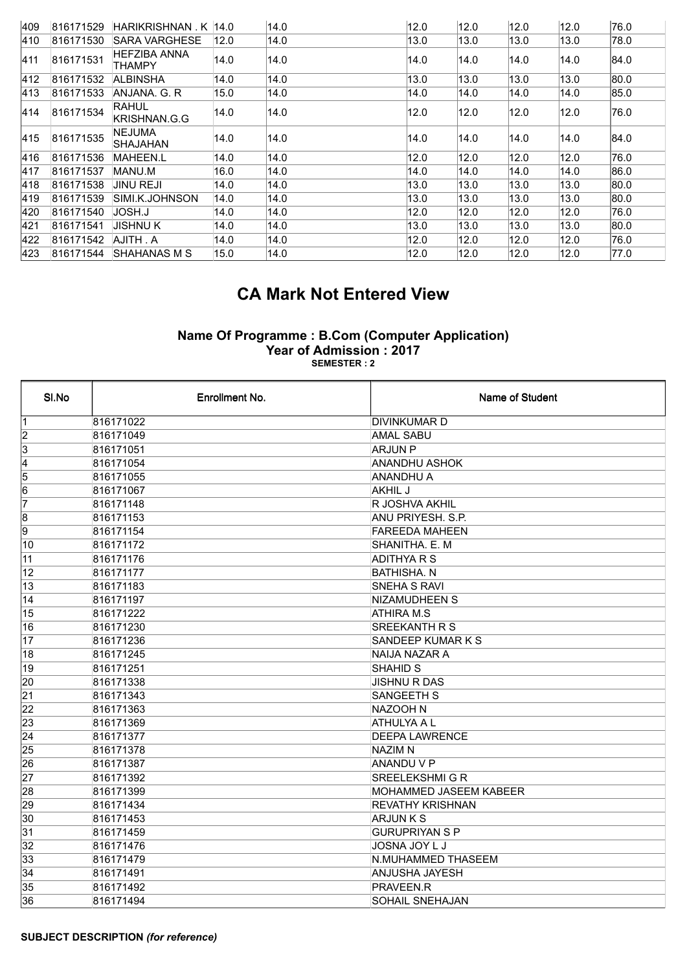| 409  | 816171529 | HARIKRISHNAN . K             | 14.0 | 14.0 | 12.0 | 12.0 | 12.0 | 12.0 | 76.0 |
|------|-----------|------------------------------|------|------|------|------|------|------|------|
| 410  | 816171530 | SARA VARGHESE                | 12.0 | 14.0 | 13.0 | 13.0 | 13.0 | 13.0 | 78.0 |
| 411  | 816171531 | HEFZIBA ANNA<br>THAMPY       | 14.0 | 14.0 | 14.0 | 14.0 | 14.0 | 14.0 | 84.0 |
| 412  | 816171532 | ALBINSHA                     | 14.0 | 14.0 | 13.0 | 13.0 | 13.0 | 13.0 | 80.0 |
| 413  | 816171533 | ANJANA, G. R                 | 15.0 | 14.0 | 14.0 | 14.0 | 14.0 | 14.0 | 85.0 |
| 414  | 816171534 | <b>RAHUL</b><br>KRISHNAN.G.G | 14.0 | 14.0 | 12.0 | 12.0 | 12.0 | 12.0 | 76.0 |
| 1415 | 816171535 | <b>NEJUMA</b><br>SHAJAHAN    | 14.0 | 14.0 | 14.0 | 14.0 | 14.0 | 14.0 | 84.0 |
| 416  | 816171536 | MAHEEN.L                     | 14.0 | 14.0 | 12.0 | 12.0 | 12.0 | 12.0 | 76.0 |
| 417  | 816171537 | MANU.M                       | 16.0 | 14.0 | 14.0 | 14.0 | 14.0 | 14.0 | 86.0 |
| 418  | 816171538 | JINU REJI                    | 14.0 | 14.0 | 13.0 | 13.0 | 13.0 | 13.0 | 80.0 |
| 419  | 816171539 | SIMI.K.JOHNSON               | 14.0 | 14.0 | 13.0 | 13.0 | 13.0 | 13.0 | 80.0 |
| 420  | 816171540 | JOSH.J                       | 14.0 | 14.0 | 12.0 | 12.0 | 12.0 | 12.0 | 76.0 |
| 421  | 816171541 | JISHNU K                     | 14.0 | 14.0 | 13.0 | 13.0 | 13.0 | 13.0 | 80.0 |
| 422  | 816171542 | AJITH . A                    | 14.0 | 14.0 | 12.0 | 12.0 | 12.0 | 12.0 | 76.0 |
| 423  | 816171544 | ISHAHANAS M S                | 15.0 | 14.0 | 12.0 | 12.0 | 12.0 | 12.0 | 77.0 |

## CA Mark Not Entered View

## Name Of Programme : B.Com (Computer Application) Year of Admission : 2017 SEMESTER : 2

| SI.No                       | Enrollment No. | Name of Student          |
|-----------------------------|----------------|--------------------------|
| 1                           | 816171022      | <b>DIVINKUMAR D</b>      |
|                             | 816171049      | <b>AMAL SABU</b>         |
|                             | 816171051      | <b>ARJUN P</b>           |
| $\frac{2}{3}$ $\frac{4}{5}$ | 816171054      | <b>ANANDHU ASHOK</b>     |
|                             | 816171055      | <b>ANANDHU A</b>         |
| $\frac{6}{7}$               | 816171067      | <b>AKHIL J</b>           |
|                             | 816171148      | R JOSHVA AKHIL           |
| $\overline{8}$              | 816171153      | ANU PRIYESH. S.P.        |
| 9                           | 816171154      | <b>FAREEDA MAHEEN</b>    |
| 10                          | 816171172      | SHANITHA. E. M           |
| 11                          | 816171176      | <b>ADITHYA R S</b>       |
| $\overline{12}$             | 816171177      | <b>BATHISHA. N</b>       |
| 13                          | 816171183      | <b>SNEHA S RAVI</b>      |
| 14                          | 816171197      | <b>NIZAMUDHEEN S</b>     |
| 15                          | 816171222      | <b>ATHIRA M.S</b>        |
| 16                          | 816171230      | <b>SREEKANTH R S</b>     |
| 17                          | 816171236      | <b>SANDEEP KUMAR K S</b> |
| 18                          | 816171245      | NAIJA NAZAR A            |
| 19                          | 816171251      | <b>SHAHID S</b>          |
| 20                          | 816171338      | <b>JISHNU R DAS</b>      |
| $\overline{21}$             | 816171343      | <b>SANGEETH S</b>        |
| 22                          | 816171363      | <b>NAZOOH N</b>          |
| $\overline{23}$             | 816171369      | <b>ATHULYA A L</b>       |
| $\overline{24}$             | 816171377      | <b>DEEPA LAWRENCE</b>    |
| $\overline{25}$             | 816171378      | <b>NAZIM N</b>           |
| 26                          | 816171387      | <b>ANANDU V P</b>        |
| $\overline{27}$             | 816171392      | <b>SREELEKSHMI G R</b>   |
| 28                          | 816171399      | MOHAMMED JASEEM KABEER   |
| 29                          | 816171434      | <b>REVATHY KRISHNAN</b>  |
| 30                          | 816171453      | <b>ARJUNKS</b>           |
| 31                          | 816171459      | <b>GURUPRIYAN S P</b>    |
| 32                          | 816171476      | JOSNA JOY L J            |
| 33                          | 816171479      | N.MUHAMMED THASEEM       |
| 34                          | 816171491      | <b>ANJUSHA JAYESH</b>    |
| 35                          | 816171492      | PRAVEEN.R                |
| 36                          | 816171494      | <b>SOHAIL SNEHAJAN</b>   |